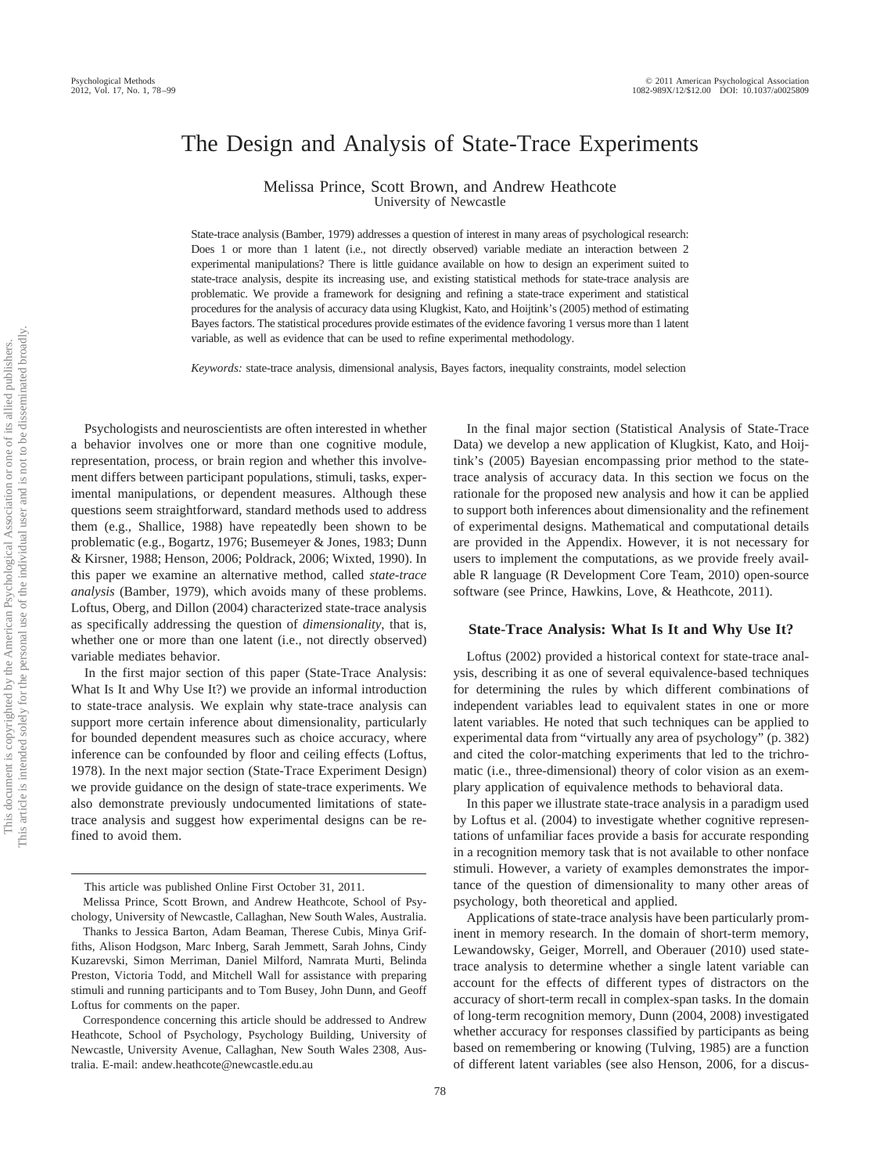# The Design and Analysis of State-Trace Experiments

Melissa Prince, Scott Brown, and Andrew Heathcote University of Newcastle

State-trace analysis (Bamber, 1979) addresses a question of interest in many areas of psychological research: Does 1 or more than 1 latent (i.e., not directly observed) variable mediate an interaction between 2 experimental manipulations? There is little guidance available on how to design an experiment suited to state-trace analysis, despite its increasing use, and existing statistical methods for state-trace analysis are problematic. We provide a framework for designing and refining a state-trace experiment and statistical procedures for the analysis of accuracy data using Klugkist, Kato, and Hoijtink's (2005) method of estimating Bayes factors. The statistical procedures provide estimates of the evidence favoring 1 versus more than 1 latent variable, as well as evidence that can be used to refine experimental methodology.

*Keywords:* state-trace analysis, dimensional analysis, Bayes factors, inequality constraints, model selection

Psychologists and neuroscientists are often interested in whether a behavior involves one or more than one cognitive module, representation, process, or brain region and whether this involvement differs between participant populations, stimuli, tasks, experimental manipulations, or dependent measures. Although these questions seem straightforward, standard methods used to address them (e.g., Shallice, 1988) have repeatedly been shown to be problematic (e.g., Bogartz, 1976; Busemeyer & Jones, 1983; Dunn & Kirsner, 1988; Henson, 2006; Poldrack, 2006; Wixted, 1990). In this paper we examine an alternative method, called *state-trace analysis* (Bamber, 1979), which avoids many of these problems. Loftus, Oberg, and Dillon (2004) characterized state-trace analysis as specifically addressing the question of *dimensionality*, that is, whether one or more than one latent (i.e., not directly observed) variable mediates behavior.

In the first major section of this paper (State-Trace Analysis: What Is It and Why Use It?) we provide an informal introduction to state-trace analysis. We explain why state-trace analysis can support more certain inference about dimensionality, particularly for bounded dependent measures such as choice accuracy, where inference can be confounded by floor and ceiling effects (Loftus, 1978). In the next major section (State-Trace Experiment Design) we provide guidance on the design of state-trace experiments. We also demonstrate previously undocumented limitations of statetrace analysis and suggest how experimental designs can be refined to avoid them.

In the final major section (Statistical Analysis of State-Trace Data) we develop a new application of Klugkist, Kato, and Hoijtink's (2005) Bayesian encompassing prior method to the statetrace analysis of accuracy data. In this section we focus on the rationale for the proposed new analysis and how it can be applied to support both inferences about dimensionality and the refinement of experimental designs. Mathematical and computational details are provided in the Appendix. However, it is not necessary for users to implement the computations, as we provide freely available R language (R Development Core Team, 2010) open-source software (see Prince, Hawkins, Love, & Heathcote, 2011).

### **State-Trace Analysis: What Is It and Why Use It?**

Loftus (2002) provided a historical context for state-trace analysis, describing it as one of several equivalence-based techniques for determining the rules by which different combinations of independent variables lead to equivalent states in one or more latent variables. He noted that such techniques can be applied to experimental data from "virtually any area of psychology" (p. 382) and cited the color-matching experiments that led to the trichromatic (i.e., three-dimensional) theory of color vision as an exemplary application of equivalence methods to behavioral data.

In this paper we illustrate state-trace analysis in a paradigm used by Loftus et al. (2004) to investigate whether cognitive representations of unfamiliar faces provide a basis for accurate responding in a recognition memory task that is not available to other nonface stimuli. However, a variety of examples demonstrates the importance of the question of dimensionality to many other areas of psychology, both theoretical and applied.

Applications of state-trace analysis have been particularly prominent in memory research. In the domain of short-term memory, Lewandowsky, Geiger, Morrell, and Oberauer (2010) used statetrace analysis to determine whether a single latent variable can account for the effects of different types of distractors on the accuracy of short-term recall in complex-span tasks. In the domain of long-term recognition memory, Dunn (2004, 2008) investigated whether accuracy for responses classified by participants as being based on remembering or knowing (Tulving, 1985) are a function of different latent variables (see also Henson, 2006, for a discus-

This article was published Online First October 31, 2011.

Melissa Prince, Scott Brown, and Andrew Heathcote, School of Psychology, University of Newcastle, Callaghan, New South Wales, Australia.

Thanks to Jessica Barton, Adam Beaman, Therese Cubis, Minya Griffiths, Alison Hodgson, Marc Inberg, Sarah Jemmett, Sarah Johns, Cindy Kuzarevski, Simon Merriman, Daniel Milford, Namrata Murti, Belinda Preston, Victoria Todd, and Mitchell Wall for assistance with preparing stimuli and running participants and to Tom Busey, John Dunn, and Geoff Loftus for comments on the paper.

Correspondence concerning this article should be addressed to Andrew Heathcote, School of Psychology, Psychology Building, University of Newcastle, University Avenue, Callaghan, New South Wales 2308, Australia. E-mail: andew.heathcote@newcastle.edu.au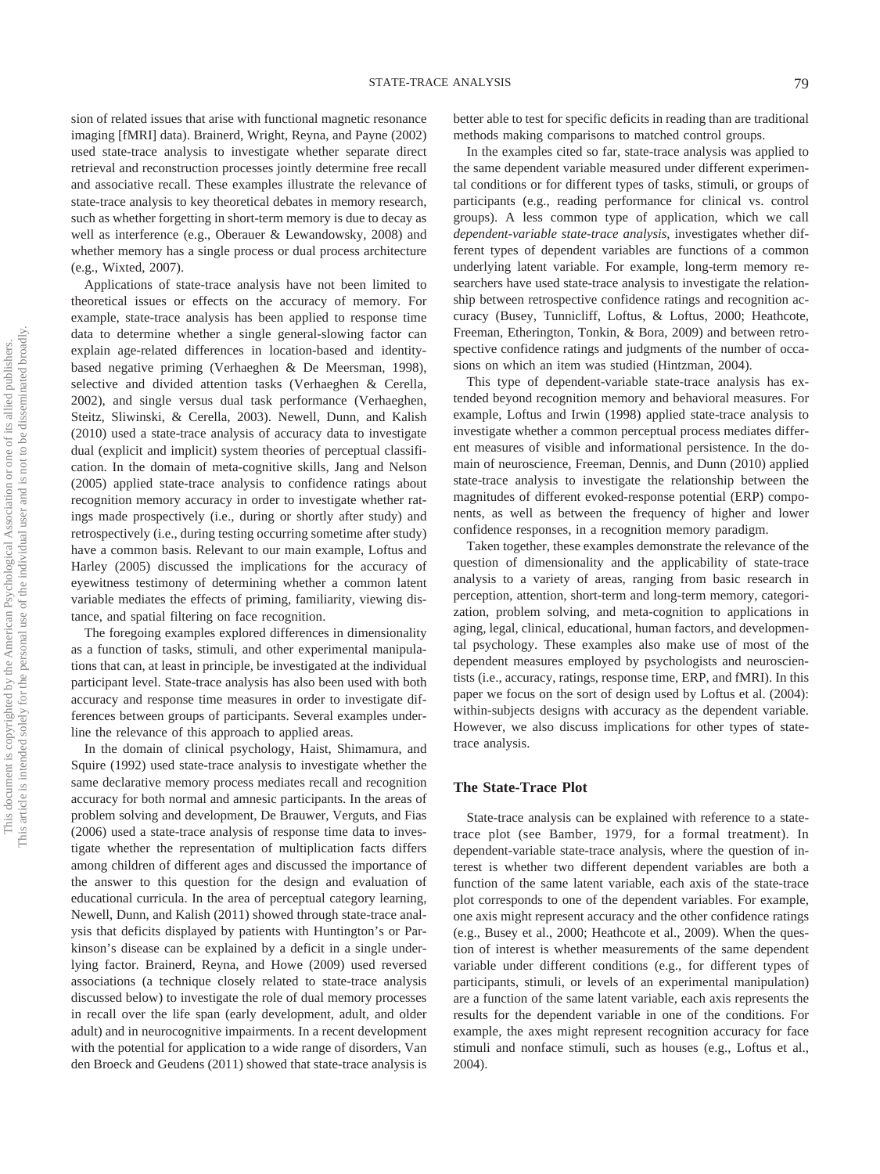sion of related issues that arise with functional magnetic resonance imaging [fMRI] data). Brainerd, Wright, Reyna, and Payne (2002) used state-trace analysis to investigate whether separate direct retrieval and reconstruction processes jointly determine free recall and associative recall. These examples illustrate the relevance of state-trace analysis to key theoretical debates in memory research, such as whether forgetting in short-term memory is due to decay as well as interference (e.g., Oberauer & Lewandowsky, 2008) and whether memory has a single process or dual process architecture (e.g., Wixted, 2007).

Applications of state-trace analysis have not been limited to theoretical issues or effects on the accuracy of memory. For example, state-trace analysis has been applied to response time data to determine whether a single general-slowing factor can explain age-related differences in location-based and identitybased negative priming (Verhaeghen & De Meersman, 1998), selective and divided attention tasks (Verhaeghen & Cerella, 2002), and single versus dual task performance (Verhaeghen, Steitz, Sliwinski, & Cerella, 2003). Newell, Dunn, and Kalish (2010) used a state-trace analysis of accuracy data to investigate dual (explicit and implicit) system theories of perceptual classification. In the domain of meta-cognitive skills, Jang and Nelson (2005) applied state-trace analysis to confidence ratings about recognition memory accuracy in order to investigate whether ratings made prospectively (i.e., during or shortly after study) and retrospectively (i.e., during testing occurring sometime after study) have a common basis. Relevant to our main example, Loftus and Harley (2005) discussed the implications for the accuracy of eyewitness testimony of determining whether a common latent variable mediates the effects of priming, familiarity, viewing distance, and spatial filtering on face recognition.

The foregoing examples explored differences in dimensionality as a function of tasks, stimuli, and other experimental manipulations that can, at least in principle, be investigated at the individual participant level. State-trace analysis has also been used with both accuracy and response time measures in order to investigate differences between groups of participants. Several examples underline the relevance of this approach to applied areas.

In the domain of clinical psychology, Haist, Shimamura, and Squire (1992) used state-trace analysis to investigate whether the same declarative memory process mediates recall and recognition accuracy for both normal and amnesic participants. In the areas of problem solving and development, De Brauwer, Verguts, and Fias (2006) used a state-trace analysis of response time data to investigate whether the representation of multiplication facts differs among children of different ages and discussed the importance of the answer to this question for the design and evaluation of educational curricula. In the area of perceptual category learning, Newell, Dunn, and Kalish (2011) showed through state-trace analysis that deficits displayed by patients with Huntington's or Parkinson's disease can be explained by a deficit in a single underlying factor. Brainerd, Reyna, and Howe (2009) used reversed associations (a technique closely related to state-trace analysis discussed below) to investigate the role of dual memory processes in recall over the life span (early development, adult, and older adult) and in neurocognitive impairments. In a recent development with the potential for application to a wide range of disorders, Van den Broeck and Geudens (2011) showed that state-trace analysis is better able to test for specific deficits in reading than are traditional methods making comparisons to matched control groups.

In the examples cited so far, state-trace analysis was applied to the same dependent variable measured under different experimental conditions or for different types of tasks, stimuli, or groups of participants (e.g., reading performance for clinical vs. control groups). A less common type of application, which we call *dependent-variable state-trace analysis*, investigates whether different types of dependent variables are functions of a common underlying latent variable. For example, long-term memory researchers have used state-trace analysis to investigate the relationship between retrospective confidence ratings and recognition accuracy (Busey, Tunnicliff, Loftus, & Loftus, 2000; Heathcote, Freeman, Etherington, Tonkin, & Bora, 2009) and between retrospective confidence ratings and judgments of the number of occasions on which an item was studied (Hintzman, 2004).

This type of dependent-variable state-trace analysis has extended beyond recognition memory and behavioral measures. For example, Loftus and Irwin (1998) applied state-trace analysis to investigate whether a common perceptual process mediates different measures of visible and informational persistence. In the domain of neuroscience, Freeman, Dennis, and Dunn (2010) applied state-trace analysis to investigate the relationship between the magnitudes of different evoked-response potential (ERP) components, as well as between the frequency of higher and lower confidence responses, in a recognition memory paradigm.

Taken together, these examples demonstrate the relevance of the question of dimensionality and the applicability of state-trace analysis to a variety of areas, ranging from basic research in perception, attention, short-term and long-term memory, categorization, problem solving, and meta-cognition to applications in aging, legal, clinical, educational, human factors, and developmental psychology. These examples also make use of most of the dependent measures employed by psychologists and neuroscientists (i.e., accuracy, ratings, response time, ERP, and fMRI). In this paper we focus on the sort of design used by Loftus et al. (2004): within-subjects designs with accuracy as the dependent variable. However, we also discuss implications for other types of statetrace analysis.

# **The State-Trace Plot**

State-trace analysis can be explained with reference to a statetrace plot (see Bamber, 1979, for a formal treatment). In dependent-variable state-trace analysis, where the question of interest is whether two different dependent variables are both a function of the same latent variable, each axis of the state-trace plot corresponds to one of the dependent variables. For example, one axis might represent accuracy and the other confidence ratings (e.g., Busey et al., 2000; Heathcote et al., 2009). When the question of interest is whether measurements of the same dependent variable under different conditions (e.g., for different types of participants, stimuli, or levels of an experimental manipulation) are a function of the same latent variable, each axis represents the results for the dependent variable in one of the conditions. For example, the axes might represent recognition accuracy for face stimuli and nonface stimuli, such as houses (e.g., Loftus et al., 2004).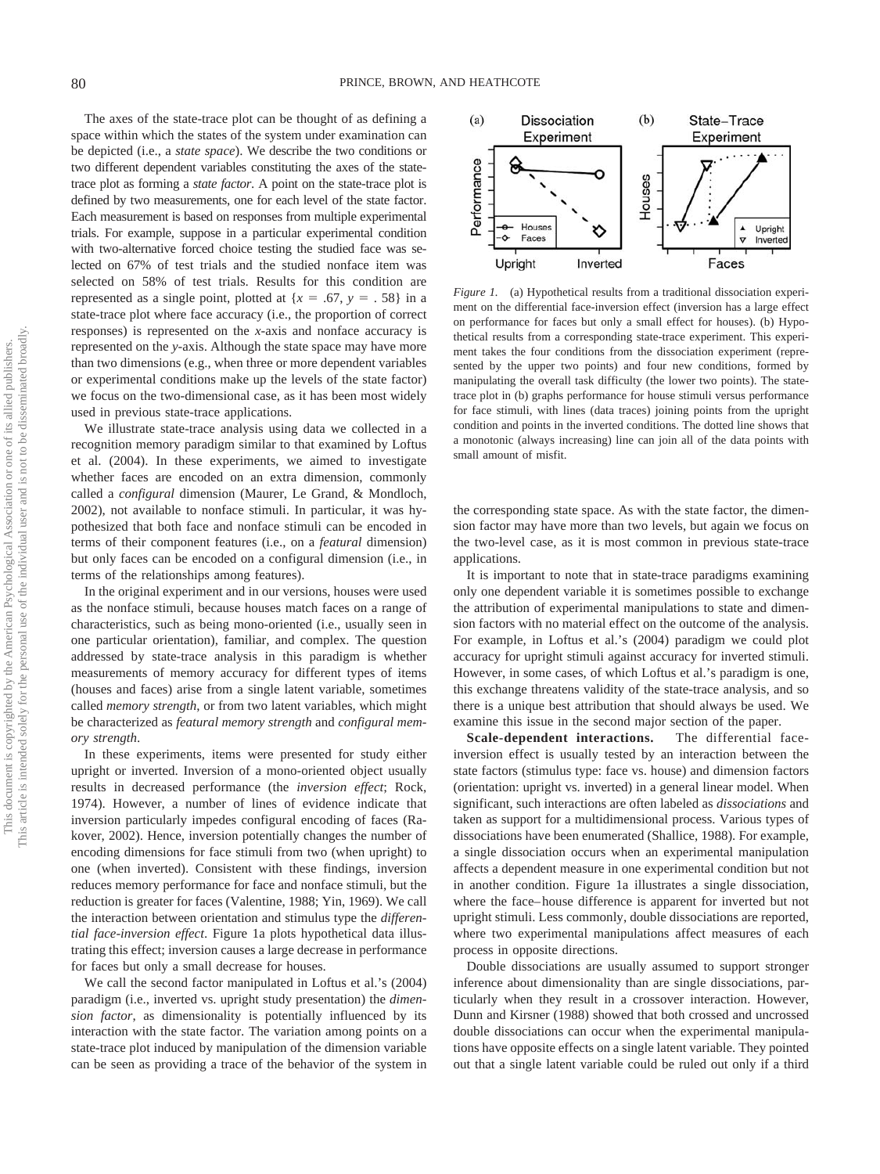The axes of the state-trace plot can be thought of as defining a space within which the states of the system under examination can be depicted (i.e., a *state space*). We describe the two conditions or two different dependent variables constituting the axes of the statetrace plot as forming a *state factor*. A point on the state-trace plot is defined by two measurements, one for each level of the state factor. Each measurement is based on responses from multiple experimental trials. For example, suppose in a particular experimental condition with two-alternative forced choice testing the studied face was selected on 67% of test trials and the studied nonface item was selected on 58% of test trials. Results for this condition are represented as a single point, plotted at  $\{x = .67, y = .58\}$  in a state-trace plot where face accuracy (i.e., the proportion of correct responses) is represented on the *x*-axis and nonface accuracy is represented on the *y*-axis. Although the state space may have more than two dimensions (e.g., when three or more dependent variables or experimental conditions make up the levels of the state factor) we focus on the two-dimensional case, as it has been most widely used in previous state-trace applications.

We illustrate state-trace analysis using data we collected in a recognition memory paradigm similar to that examined by Loftus et al. (2004). In these experiments, we aimed to investigate whether faces are encoded on an extra dimension, commonly called a *configural* dimension (Maurer, Le Grand, & Mondloch, 2002), not available to nonface stimuli. In particular, it was hypothesized that both face and nonface stimuli can be encoded in terms of their component features (i.e., on a *featural* dimension) but only faces can be encoded on a configural dimension (i.e., in terms of the relationships among features).

In the original experiment and in our versions, houses were used as the nonface stimuli, because houses match faces on a range of characteristics, such as being mono-oriented (i.e., usually seen in one particular orientation), familiar, and complex. The question addressed by state-trace analysis in this paradigm is whether measurements of memory accuracy for different types of items (houses and faces) arise from a single latent variable, sometimes called *memory strength*, or from two latent variables, which might be characterized as *featural memory strength* and *configural memory strength*.

In these experiments, items were presented for study either upright or inverted. Inversion of a mono-oriented object usually results in decreased performance (the *inversion effect*; Rock, 1974). However, a number of lines of evidence indicate that inversion particularly impedes configural encoding of faces (Rakover, 2002). Hence, inversion potentially changes the number of encoding dimensions for face stimuli from two (when upright) to one (when inverted). Consistent with these findings, inversion reduces memory performance for face and nonface stimuli, but the reduction is greater for faces (Valentine, 1988; Yin, 1969). We call the interaction between orientation and stimulus type the *differential face-inversion effect*. Figure 1a plots hypothetical data illustrating this effect; inversion causes a large decrease in performance for faces but only a small decrease for houses.

We call the second factor manipulated in Loftus et al.'s (2004) paradigm (i.e., inverted vs. upright study presentation) the *dimension factor*, as dimensionality is potentially influenced by its interaction with the state factor. The variation among points on a state-trace plot induced by manipulation of the dimension variable can be seen as providing a trace of the behavior of the system in



*Figure 1.* (a) Hypothetical results from a traditional dissociation experiment on the differential face-inversion effect (inversion has a large effect on performance for faces but only a small effect for houses). (b) Hypothetical results from a corresponding state-trace experiment. This experiment takes the four conditions from the dissociation experiment (represented by the upper two points) and four new conditions, formed by manipulating the overall task difficulty (the lower two points). The statetrace plot in (b) graphs performance for house stimuli versus performance for face stimuli, with lines (data traces) joining points from the upright condition and points in the inverted conditions. The dotted line shows that a monotonic (always increasing) line can join all of the data points with small amount of misfit.

the corresponding state space. As with the state factor, the dimension factor may have more than two levels, but again we focus on the two-level case, as it is most common in previous state-trace applications.

It is important to note that in state-trace paradigms examining only one dependent variable it is sometimes possible to exchange the attribution of experimental manipulations to state and dimension factors with no material effect on the outcome of the analysis. For example, in Loftus et al.'s (2004) paradigm we could plot accuracy for upright stimuli against accuracy for inverted stimuli. However, in some cases, of which Loftus et al.'s paradigm is one, this exchange threatens validity of the state-trace analysis, and so there is a unique best attribution that should always be used. We examine this issue in the second major section of the paper.

**Scale-dependent interactions.** The differential faceinversion effect is usually tested by an interaction between the state factors (stimulus type: face vs. house) and dimension factors (orientation: upright vs. inverted) in a general linear model. When significant, such interactions are often labeled as *dissociations* and taken as support for a multidimensional process. Various types of dissociations have been enumerated (Shallice, 1988). For example, a single dissociation occurs when an experimental manipulation affects a dependent measure in one experimental condition but not in another condition. Figure 1a illustrates a single dissociation, where the face– house difference is apparent for inverted but not upright stimuli. Less commonly, double dissociations are reported, where two experimental manipulations affect measures of each process in opposite directions.

Double dissociations are usually assumed to support stronger inference about dimensionality than are single dissociations, particularly when they result in a crossover interaction. However, Dunn and Kirsner (1988) showed that both crossed and uncrossed double dissociations can occur when the experimental manipulations have opposite effects on a single latent variable. They pointed out that a single latent variable could be ruled out only if a third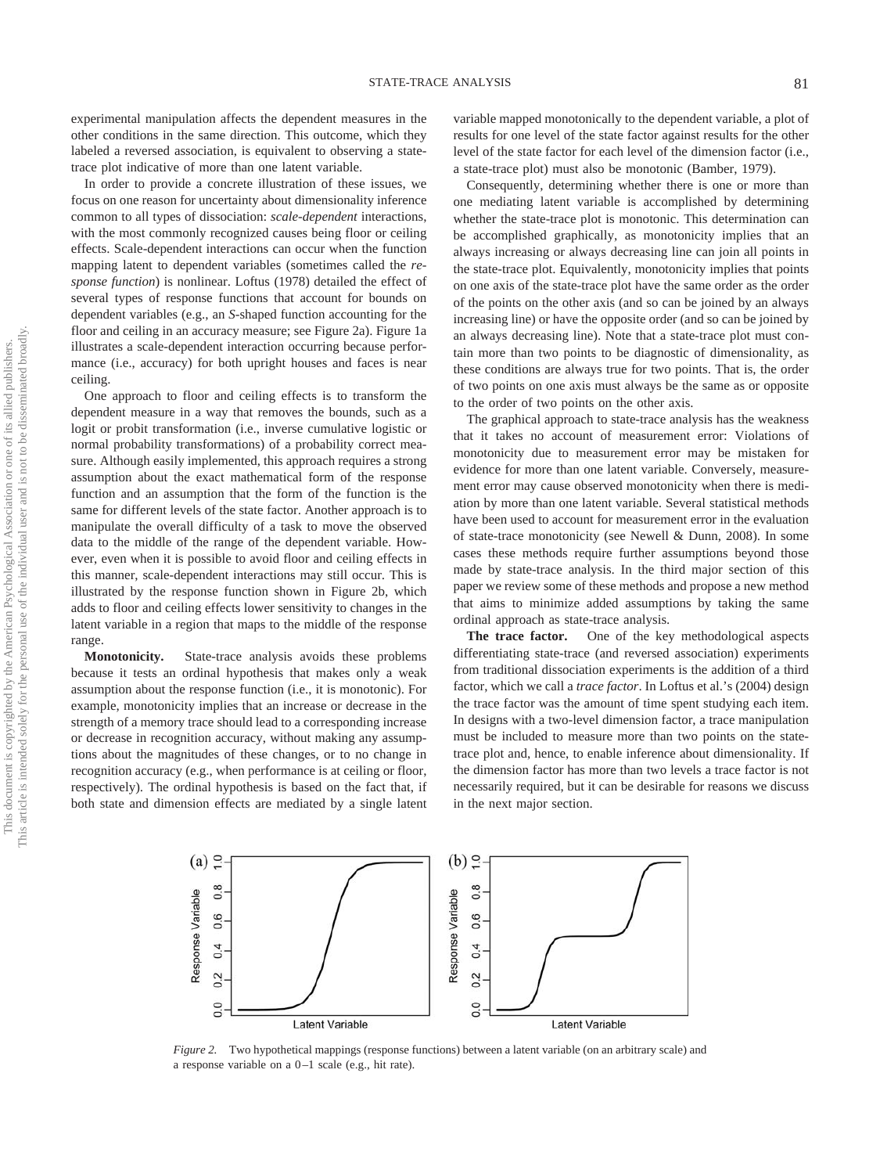experimental manipulation affects the dependent measures in the other conditions in the same direction. This outcome, which they labeled a reversed association, is equivalent to observing a statetrace plot indicative of more than one latent variable.

In order to provide a concrete illustration of these issues, we focus on one reason for uncertainty about dimensionality inference common to all types of dissociation: *scale-dependent* interactions, with the most commonly recognized causes being floor or ceiling effects. Scale-dependent interactions can occur when the function mapping latent to dependent variables (sometimes called the *response function*) is nonlinear. Loftus (1978) detailed the effect of several types of response functions that account for bounds on dependent variables (e.g., an *S*-shaped function accounting for the floor and ceiling in an accuracy measure; see Figure 2a). Figure 1a illustrates a scale-dependent interaction occurring because performance (i.e., accuracy) for both upright houses and faces is near ceiling.

One approach to floor and ceiling effects is to transform the dependent measure in a way that removes the bounds, such as a logit or probit transformation (i.e., inverse cumulative logistic or normal probability transformations) of a probability correct measure. Although easily implemented, this approach requires a strong assumption about the exact mathematical form of the response function and an assumption that the form of the function is the same for different levels of the state factor. Another approach is to manipulate the overall difficulty of a task to move the observed data to the middle of the range of the dependent variable. However, even when it is possible to avoid floor and ceiling effects in this manner, scale-dependent interactions may still occur. This is illustrated by the response function shown in Figure 2b, which adds to floor and ceiling effects lower sensitivity to changes in the latent variable in a region that maps to the middle of the response range.

**Monotonicity.** State-trace analysis avoids these problems because it tests an ordinal hypothesis that makes only a weak assumption about the response function (i.e., it is monotonic). For example, monotonicity implies that an increase or decrease in the strength of a memory trace should lead to a corresponding increase or decrease in recognition accuracy, without making any assumptions about the magnitudes of these changes, or to no change in recognition accuracy (e.g., when performance is at ceiling or floor, respectively). The ordinal hypothesis is based on the fact that, if both state and dimension effects are mediated by a single latent

variable mapped monotonically to the dependent variable, a plot of results for one level of the state factor against results for the other level of the state factor for each level of the dimension factor (i.e., a state-trace plot) must also be monotonic (Bamber, 1979).

Consequently, determining whether there is one or more than one mediating latent variable is accomplished by determining whether the state-trace plot is monotonic. This determination can be accomplished graphically, as monotonicity implies that an always increasing or always decreasing line can join all points in the state-trace plot. Equivalently, monotonicity implies that points on one axis of the state-trace plot have the same order as the order of the points on the other axis (and so can be joined by an always increasing line) or have the opposite order (and so can be joined by an always decreasing line). Note that a state-trace plot must contain more than two points to be diagnostic of dimensionality, as these conditions are always true for two points. That is, the order of two points on one axis must always be the same as or opposite to the order of two points on the other axis.

The graphical approach to state-trace analysis has the weakness that it takes no account of measurement error: Violations of monotonicity due to measurement error may be mistaken for evidence for more than one latent variable. Conversely, measurement error may cause observed monotonicity when there is mediation by more than one latent variable. Several statistical methods have been used to account for measurement error in the evaluation of state-trace monotonicity (see Newell & Dunn, 2008). In some cases these methods require further assumptions beyond those made by state-trace analysis. In the third major section of this paper we review some of these methods and propose a new method that aims to minimize added assumptions by taking the same ordinal approach as state-trace analysis.

**The trace factor.** One of the key methodological aspects differentiating state-trace (and reversed association) experiments from traditional dissociation experiments is the addition of a third factor, which we call a *trace factor*. In Loftus et al.'s (2004) design the trace factor was the amount of time spent studying each item. In designs with a two-level dimension factor, a trace manipulation must be included to measure more than two points on the statetrace plot and, hence, to enable inference about dimensionality. If the dimension factor has more than two levels a trace factor is not necessarily required, but it can be desirable for reasons we discuss in the next major section.



*Figure 2.* Two hypothetical mappings (response functions) between a latent variable (on an arbitrary scale) and a response variable on a  $0-1$  scale (e.g., hit rate).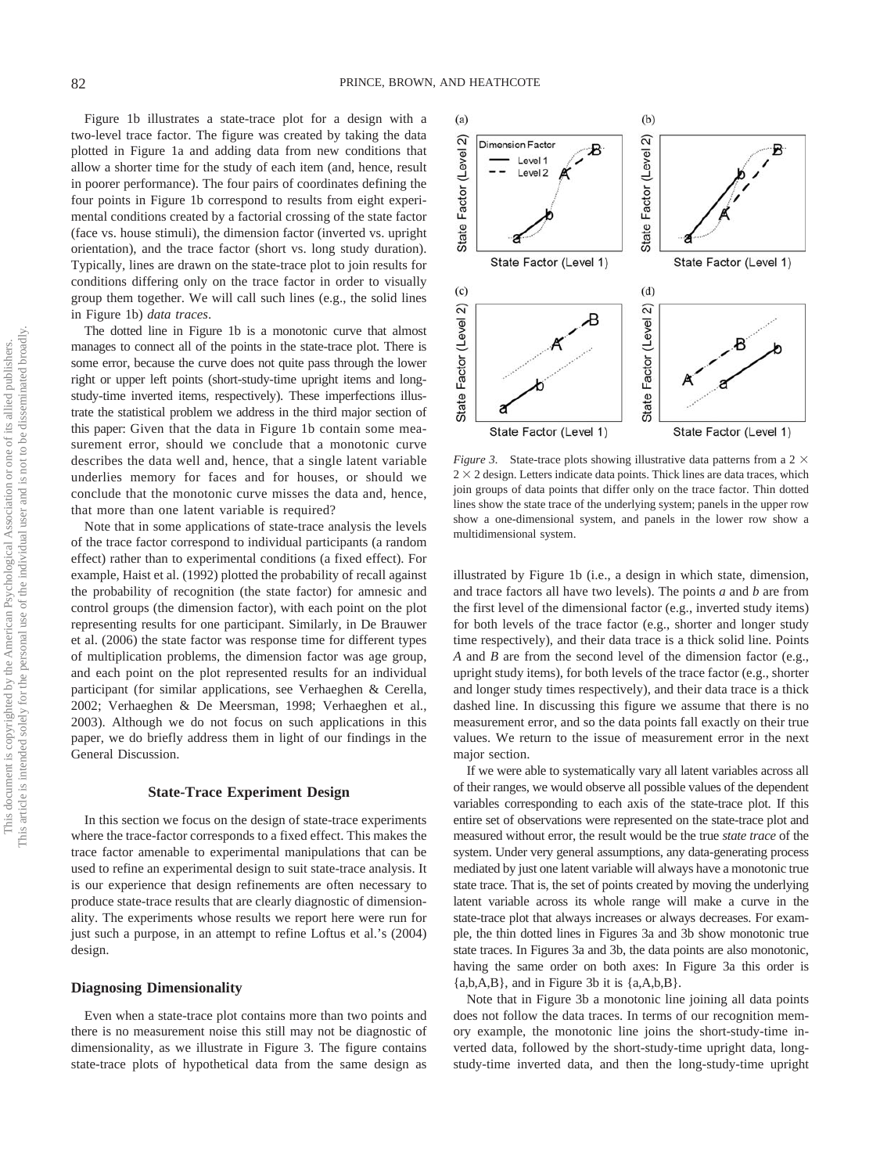Figure 1b illustrates a state-trace plot for a design with a two-level trace factor. The figure was created by taking the data plotted in Figure 1a and adding data from new conditions that allow a shorter time for the study of each item (and, hence, result in poorer performance). The four pairs of coordinates defining the four points in Figure 1b correspond to results from eight experimental conditions created by a factorial crossing of the state factor (face vs. house stimuli), the dimension factor (inverted vs. upright orientation), and the trace factor (short vs. long study duration). Typically, lines are drawn on the state-trace plot to join results for conditions differing only on the trace factor in order to visually group them together. We will call such lines (e.g., the solid lines in Figure 1b) *data traces*.

The dotted line in Figure 1b is a monotonic curve that almost manages to connect all of the points in the state-trace plot. There is some error, because the curve does not quite pass through the lower right or upper left points (short-study-time upright items and longstudy-time inverted items, respectively). These imperfections illustrate the statistical problem we address in the third major section of this paper: Given that the data in Figure 1b contain some measurement error, should we conclude that a monotonic curve describes the data well and, hence, that a single latent variable underlies memory for faces and for houses, or should we conclude that the monotonic curve misses the data and, hence, that more than one latent variable is required?

Note that in some applications of state-trace analysis the levels of the trace factor correspond to individual participants (a random effect) rather than to experimental conditions (a fixed effect). For example, Haist et al. (1992) plotted the probability of recall against the probability of recognition (the state factor) for amnesic and control groups (the dimension factor), with each point on the plot representing results for one participant. Similarly, in De Brauwer et al. (2006) the state factor was response time for different types of multiplication problems, the dimension factor was age group, and each point on the plot represented results for an individual participant (for similar applications, see Verhaeghen & Cerella, 2002; Verhaeghen & De Meersman, 1998; Verhaeghen et al., 2003). Although we do not focus on such applications in this paper, we do briefly address them in light of our findings in the General Discussion.

### **State-Trace Experiment Design**

In this section we focus on the design of state-trace experiments where the trace-factor corresponds to a fixed effect. This makes the trace factor amenable to experimental manipulations that can be used to refine an experimental design to suit state-trace analysis. It is our experience that design refinements are often necessary to produce state-trace results that are clearly diagnostic of dimensionality. The experiments whose results we report here were run for just such a purpose, in an attempt to refine Loftus et al.'s (2004) design.

### **Diagnosing Dimensionality**

Even when a state-trace plot contains more than two points and there is no measurement noise this still may not be diagnostic of dimensionality, as we illustrate in Figure 3. The figure contains state-trace plots of hypothetical data from the same design as



*Figure 3.* State-trace plots showing illustrative data patterns from a  $2 \times$  $2 \times 2$  design. Letters indicate data points. Thick lines are data traces, which join groups of data points that differ only on the trace factor. Thin dotted lines show the state trace of the underlying system; panels in the upper row show a one-dimensional system, and panels in the lower row show a multidimensional system.

illustrated by Figure 1b (i.e., a design in which state, dimension, and trace factors all have two levels). The points *a* and *b* are from the first level of the dimensional factor (e.g., inverted study items) for both levels of the trace factor (e.g., shorter and longer study time respectively), and their data trace is a thick solid line. Points *A* and *B* are from the second level of the dimension factor (e.g., upright study items), for both levels of the trace factor (e.g., shorter and longer study times respectively), and their data trace is a thick dashed line. In discussing this figure we assume that there is no measurement error, and so the data points fall exactly on their true values. We return to the issue of measurement error in the next major section.

If we were able to systematically vary all latent variables across all of their ranges, we would observe all possible values of the dependent variables corresponding to each axis of the state-trace plot. If this entire set of observations were represented on the state-trace plot and measured without error, the result would be the true *state trace* of the system. Under very general assumptions, any data-generating process mediated by just one latent variable will always have a monotonic true state trace. That is, the set of points created by moving the underlying latent variable across its whole range will make a curve in the state-trace plot that always increases or always decreases. For example, the thin dotted lines in Figures 3a and 3b show monotonic true state traces. In Figures 3a and 3b, the data points are also monotonic, having the same order on both axes: In Figure 3a this order is  ${a,b,A,B}$ , and in Figure 3b it is  ${a,A,b,B}$ .

Note that in Figure 3b a monotonic line joining all data points does not follow the data traces. In terms of our recognition memory example, the monotonic line joins the short-study-time inverted data, followed by the short-study-time upright data, longstudy-time inverted data, and then the long-study-time upright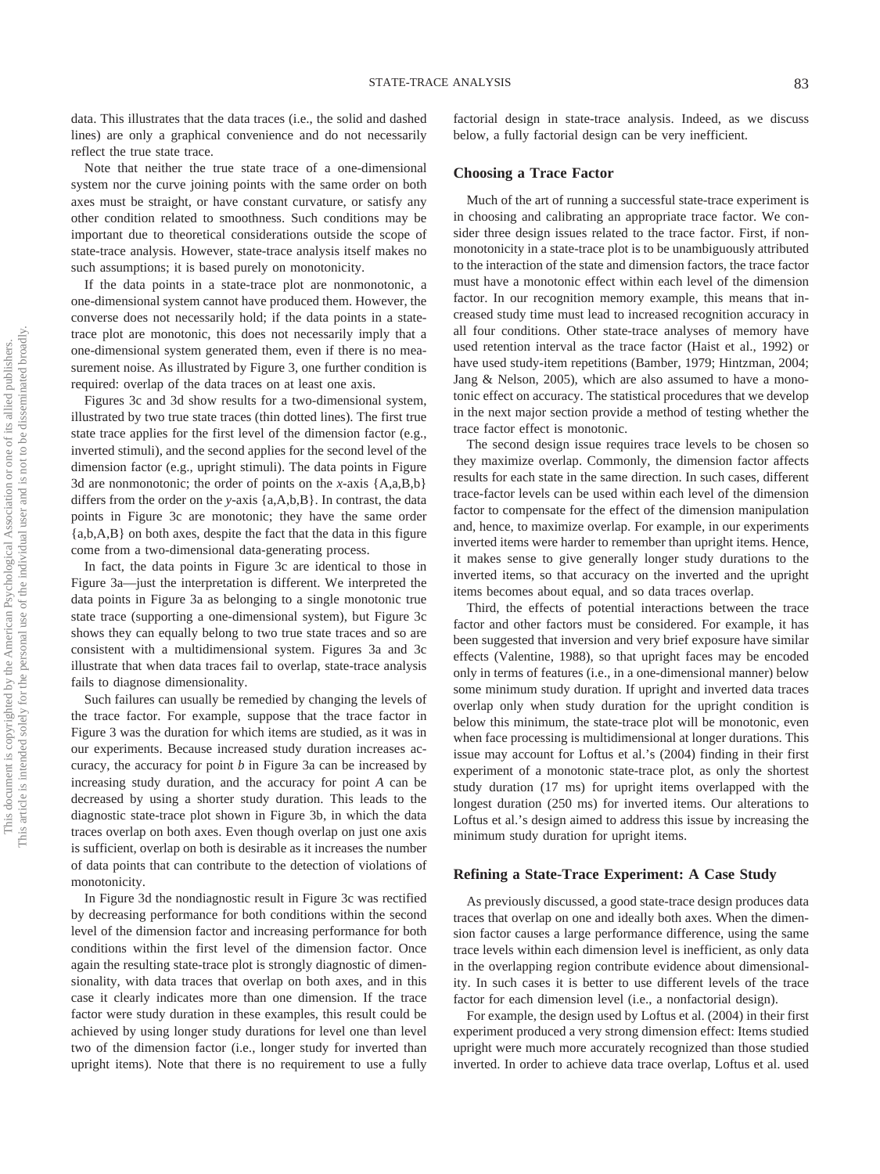data. This illustrates that the data traces (i.e., the solid and dashed lines) are only a graphical convenience and do not necessarily reflect the true state trace.

Note that neither the true state trace of a one-dimensional system nor the curve joining points with the same order on both axes must be straight, or have constant curvature, or satisfy any other condition related to smoothness. Such conditions may be important due to theoretical considerations outside the scope of state-trace analysis. However, state-trace analysis itself makes no such assumptions; it is based purely on monotonicity.

If the data points in a state-trace plot are nonmonotonic, a one-dimensional system cannot have produced them. However, the converse does not necessarily hold; if the data points in a statetrace plot are monotonic, this does not necessarily imply that a one-dimensional system generated them, even if there is no measurement noise. As illustrated by Figure 3, one further condition is required: overlap of the data traces on at least one axis.

Figures 3c and 3d show results for a two-dimensional system, illustrated by two true state traces (thin dotted lines). The first true state trace applies for the first level of the dimension factor (e.g., inverted stimuli), and the second applies for the second level of the dimension factor (e.g., upright stimuli). The data points in Figure 3d are nonmonotonic; the order of points on the *x*-axis {A,a,B,b} differs from the order on the *y*-axis {a,A,b,B}. In contrast, the data points in Figure 3c are monotonic; they have the same order {a,b,A,B} on both axes, despite the fact that the data in this figure come from a two-dimensional data-generating process.

In fact, the data points in Figure 3c are identical to those in Figure 3a—just the interpretation is different. We interpreted the data points in Figure 3a as belonging to a single monotonic true state trace (supporting a one-dimensional system), but Figure 3c shows they can equally belong to two true state traces and so are consistent with a multidimensional system. Figures 3a and 3c illustrate that when data traces fail to overlap, state-trace analysis fails to diagnose dimensionality.

Such failures can usually be remedied by changing the levels of the trace factor. For example, suppose that the trace factor in Figure 3 was the duration for which items are studied, as it was in our experiments. Because increased study duration increases accuracy, the accuracy for point *b* in Figure 3a can be increased by increasing study duration, and the accuracy for point *A* can be decreased by using a shorter study duration. This leads to the diagnostic state-trace plot shown in Figure 3b, in which the data traces overlap on both axes. Even though overlap on just one axis is sufficient, overlap on both is desirable as it increases the number of data points that can contribute to the detection of violations of monotonicity.

In Figure 3d the nondiagnostic result in Figure 3c was rectified by decreasing performance for both conditions within the second level of the dimension factor and increasing performance for both conditions within the first level of the dimension factor. Once again the resulting state-trace plot is strongly diagnostic of dimensionality, with data traces that overlap on both axes, and in this case it clearly indicates more than one dimension. If the trace factor were study duration in these examples, this result could be achieved by using longer study durations for level one than level two of the dimension factor (i.e., longer study for inverted than upright items). Note that there is no requirement to use a fully factorial design in state-trace analysis. Indeed, as we discuss below, a fully factorial design can be very inefficient.

# **Choosing a Trace Factor**

Much of the art of running a successful state-trace experiment is in choosing and calibrating an appropriate trace factor. We consider three design issues related to the trace factor. First, if nonmonotonicity in a state-trace plot is to be unambiguously attributed to the interaction of the state and dimension factors, the trace factor must have a monotonic effect within each level of the dimension factor. In our recognition memory example, this means that increased study time must lead to increased recognition accuracy in all four conditions. Other state-trace analyses of memory have used retention interval as the trace factor (Haist et al., 1992) or have used study-item repetitions (Bamber, 1979; Hintzman, 2004; Jang & Nelson, 2005), which are also assumed to have a monotonic effect on accuracy. The statistical procedures that we develop in the next major section provide a method of testing whether the trace factor effect is monotonic.

The second design issue requires trace levels to be chosen so they maximize overlap. Commonly, the dimension factor affects results for each state in the same direction. In such cases, different trace-factor levels can be used within each level of the dimension factor to compensate for the effect of the dimension manipulation and, hence, to maximize overlap. For example, in our experiments inverted items were harder to remember than upright items. Hence, it makes sense to give generally longer study durations to the inverted items, so that accuracy on the inverted and the upright items becomes about equal, and so data traces overlap.

Third, the effects of potential interactions between the trace factor and other factors must be considered. For example, it has been suggested that inversion and very brief exposure have similar effects (Valentine, 1988), so that upright faces may be encoded only in terms of features (i.e., in a one-dimensional manner) below some minimum study duration. If upright and inverted data traces overlap only when study duration for the upright condition is below this minimum, the state-trace plot will be monotonic, even when face processing is multidimensional at longer durations. This issue may account for Loftus et al.'s (2004) finding in their first experiment of a monotonic state-trace plot, as only the shortest study duration (17 ms) for upright items overlapped with the longest duration (250 ms) for inverted items. Our alterations to Loftus et al.'s design aimed to address this issue by increasing the minimum study duration for upright items.

### **Refining a State-Trace Experiment: A Case Study**

As previously discussed, a good state-trace design produces data traces that overlap on one and ideally both axes. When the dimension factor causes a large performance difference, using the same trace levels within each dimension level is inefficient, as only data in the overlapping region contribute evidence about dimensionality. In such cases it is better to use different levels of the trace factor for each dimension level (i.e., a nonfactorial design).

For example, the design used by Loftus et al. (2004) in their first experiment produced a very strong dimension effect: Items studied upright were much more accurately recognized than those studied inverted. In order to achieve data trace overlap, Loftus et al. used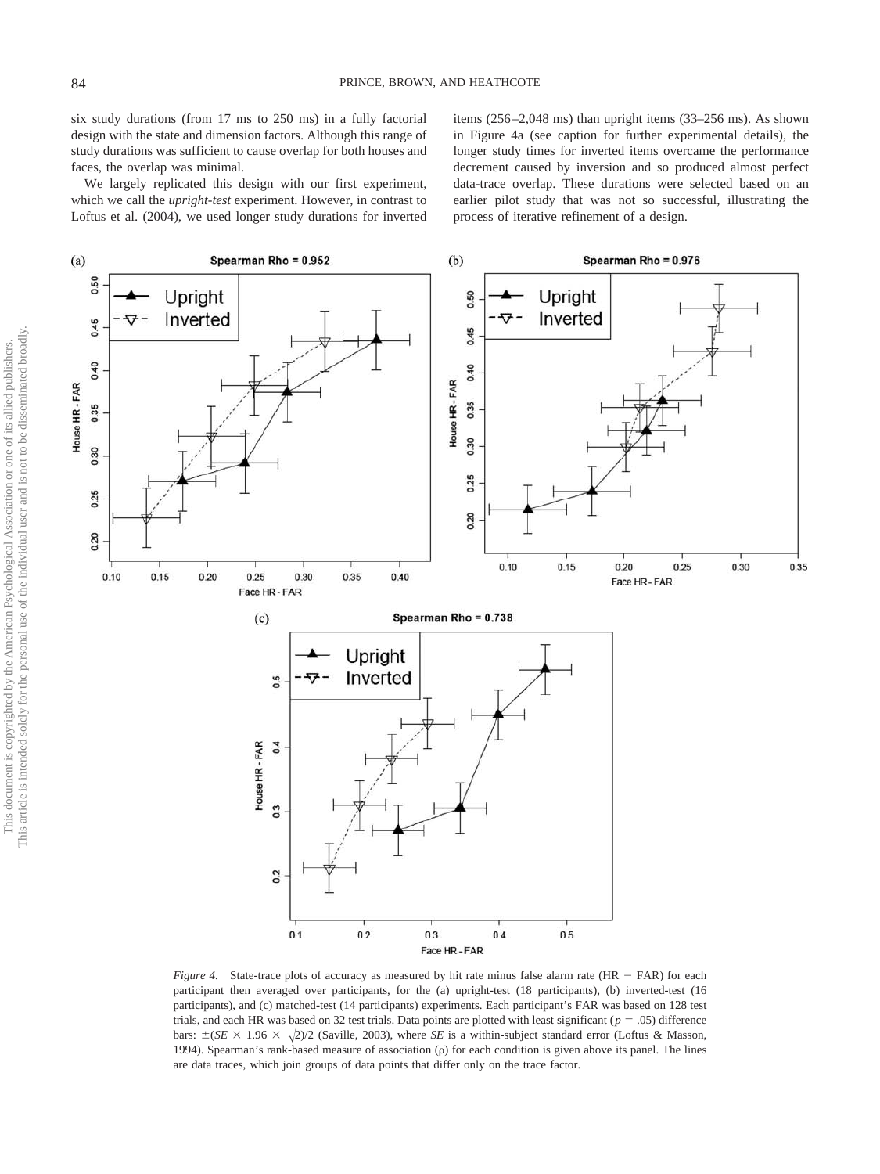six study durations (from 17 ms to 250 ms) in a fully factorial design with the state and dimension factors. Although this range of study durations was sufficient to cause overlap for both houses and faces, the overlap was minimal.

We largely replicated this design with our first experiment, which we call the *upright-test* experiment. However, in contrast to Loftus et al. (2004), we used longer study durations for inverted

items (256 –2,048 ms) than upright items (33–256 ms). As shown in Figure 4a (see caption for further experimental details), the longer study times for inverted items overcame the performance decrement caused by inversion and so produced almost perfect data-trace overlap. These durations were selected based on an earlier pilot study that was not so successful, illustrating the process of iterative refinement of a design.



*Figure 4.* State-trace plots of accuracy as measured by hit rate minus false alarm rate ( $HR - FAR$ ) for each participant then averaged over participants, for the (a) upright-test (18 participants), (b) inverted-test (16 participants), and (c) matched-test (14 participants) experiments. Each participant's FAR was based on 128 test trials, and each HR was based on 32 test trials. Data points are plotted with least significant ( $p = .05$ ) difference bars:  $\pm (SE \times 1.96 \times \sqrt{2})/2$  (Saville, 2003), where *SE* is a within-subject standard error (Loftus & Masson, 1994). Spearman's rank-based measure of association  $(\rho)$  for each condition is given above its panel. The lines are data traces, which join groups of data points that differ only on the trace factor.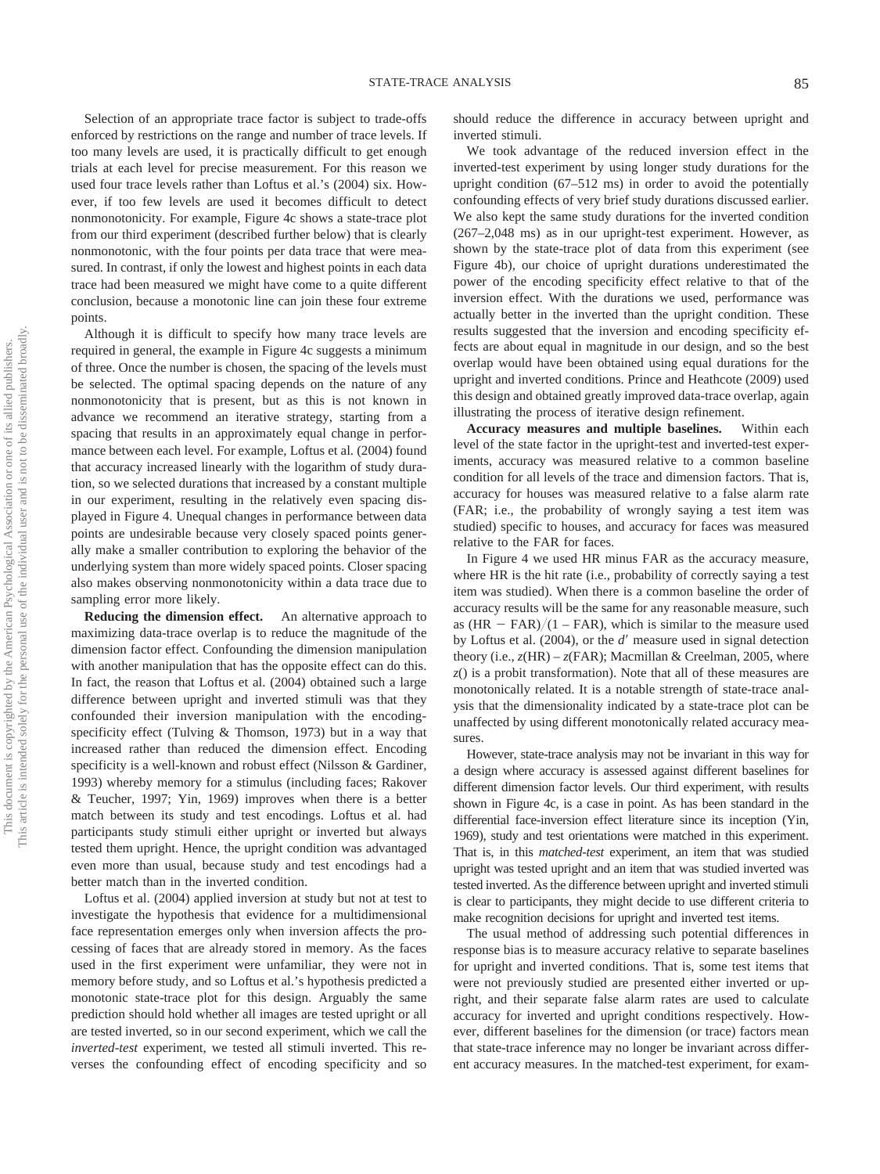Selection of an appropriate trace factor is subject to trade-offs enforced by restrictions on the range and number of trace levels. If too many levels are used, it is practically difficult to get enough trials at each level for precise measurement. For this reason we used four trace levels rather than Loftus et al.'s (2004) six. However, if too few levels are used it becomes difficult to detect nonmonotonicity. For example, Figure 4c shows a state-trace plot from our third experiment (described further below) that is clearly nonmonotonic, with the four points per data trace that were measured. In contrast, if only the lowest and highest points in each data trace had been measured we might have come to a quite different conclusion, because a monotonic line can join these four extreme points.

Although it is difficult to specify how many trace levels are required in general, the example in Figure 4c suggests a minimum of three. Once the number is chosen, the spacing of the levels must be selected. The optimal spacing depends on the nature of any nonmonotonicity that is present, but as this is not known in advance we recommend an iterative strategy, starting from a spacing that results in an approximately equal change in performance between each level. For example, Loftus et al. (2004) found that accuracy increased linearly with the logarithm of study duration, so we selected durations that increased by a constant multiple in our experiment, resulting in the relatively even spacing displayed in Figure 4. Unequal changes in performance between data points are undesirable because very closely spaced points generally make a smaller contribution to exploring the behavior of the underlying system than more widely spaced points. Closer spacing also makes observing nonmonotonicity within a data trace due to sampling error more likely.

**Reducing the dimension effect.** An alternative approach to maximizing data-trace overlap is to reduce the magnitude of the dimension factor effect. Confounding the dimension manipulation with another manipulation that has the opposite effect can do this. In fact, the reason that Loftus et al. (2004) obtained such a large difference between upright and inverted stimuli was that they confounded their inversion manipulation with the encodingspecificity effect (Tulving & Thomson, 1973) but in a way that increased rather than reduced the dimension effect. Encoding specificity is a well-known and robust effect (Nilsson & Gardiner, 1993) whereby memory for a stimulus (including faces; Rakover & Teucher, 1997; Yin, 1969) improves when there is a better match between its study and test encodings. Loftus et al. had participants study stimuli either upright or inverted but always tested them upright. Hence, the upright condition was advantaged even more than usual, because study and test encodings had a better match than in the inverted condition.

Loftus et al. (2004) applied inversion at study but not at test to investigate the hypothesis that evidence for a multidimensional face representation emerges only when inversion affects the processing of faces that are already stored in memory. As the faces used in the first experiment were unfamiliar, they were not in memory before study, and so Loftus et al.'s hypothesis predicted a monotonic state-trace plot for this design. Arguably the same prediction should hold whether all images are tested upright or all are tested inverted, so in our second experiment, which we call the *inverted-test* experiment, we tested all stimuli inverted. This reverses the confounding effect of encoding specificity and so should reduce the difference in accuracy between upright and inverted stimuli.

We took advantage of the reduced inversion effect in the inverted-test experiment by using longer study durations for the upright condition (67–512 ms) in order to avoid the potentially confounding effects of very brief study durations discussed earlier. We also kept the same study durations for the inverted condition (267–2,048 ms) as in our upright-test experiment. However, as shown by the state-trace plot of data from this experiment (see Figure 4b), our choice of upright durations underestimated the power of the encoding specificity effect relative to that of the inversion effect. With the durations we used, performance was actually better in the inverted than the upright condition. These results suggested that the inversion and encoding specificity effects are about equal in magnitude in our design, and so the best overlap would have been obtained using equal durations for the upright and inverted conditions. Prince and Heathcote (2009) used this design and obtained greatly improved data-trace overlap, again illustrating the process of iterative design refinement.

**Accuracy measures and multiple baselines.** Within each level of the state factor in the upright-test and inverted-test experiments, accuracy was measured relative to a common baseline condition for all levels of the trace and dimension factors. That is, accuracy for houses was measured relative to a false alarm rate (FAR; i.e., the probability of wrongly saying a test item was studied) specific to houses, and accuracy for faces was measured relative to the FAR for faces.

In Figure 4 we used HR minus FAR as the accuracy measure, where HR is the hit rate (i.e., probability of correctly saying a test item was studied). When there is a common baseline the order of accuracy results will be the same for any reasonable measure, such as  $(HR - FAR)/(1 - FAR)$ , which is similar to the measure used by Loftus et al. (2004), or the *d'* measure used in signal detection theory (i.e., *z*(HR) – *z*(FAR); Macmillan & Creelman, 2005, where *z*() is a probit transformation). Note that all of these measures are monotonically related. It is a notable strength of state-trace analysis that the dimensionality indicated by a state-trace plot can be unaffected by using different monotonically related accuracy measures.

However, state-trace analysis may not be invariant in this way for a design where accuracy is assessed against different baselines for different dimension factor levels. Our third experiment, with results shown in Figure 4c, is a case in point. As has been standard in the differential face-inversion effect literature since its inception (Yin, 1969), study and test orientations were matched in this experiment. That is, in this *matched-test* experiment, an item that was studied upright was tested upright and an item that was studied inverted was tested inverted. As the difference between upright and inverted stimuli is clear to participants, they might decide to use different criteria to make recognition decisions for upright and inverted test items.

The usual method of addressing such potential differences in response bias is to measure accuracy relative to separate baselines for upright and inverted conditions. That is, some test items that were not previously studied are presented either inverted or upright, and their separate false alarm rates are used to calculate accuracy for inverted and upright conditions respectively. However, different baselines for the dimension (or trace) factors mean that state-trace inference may no longer be invariant across different accuracy measures. In the matched-test experiment, for exam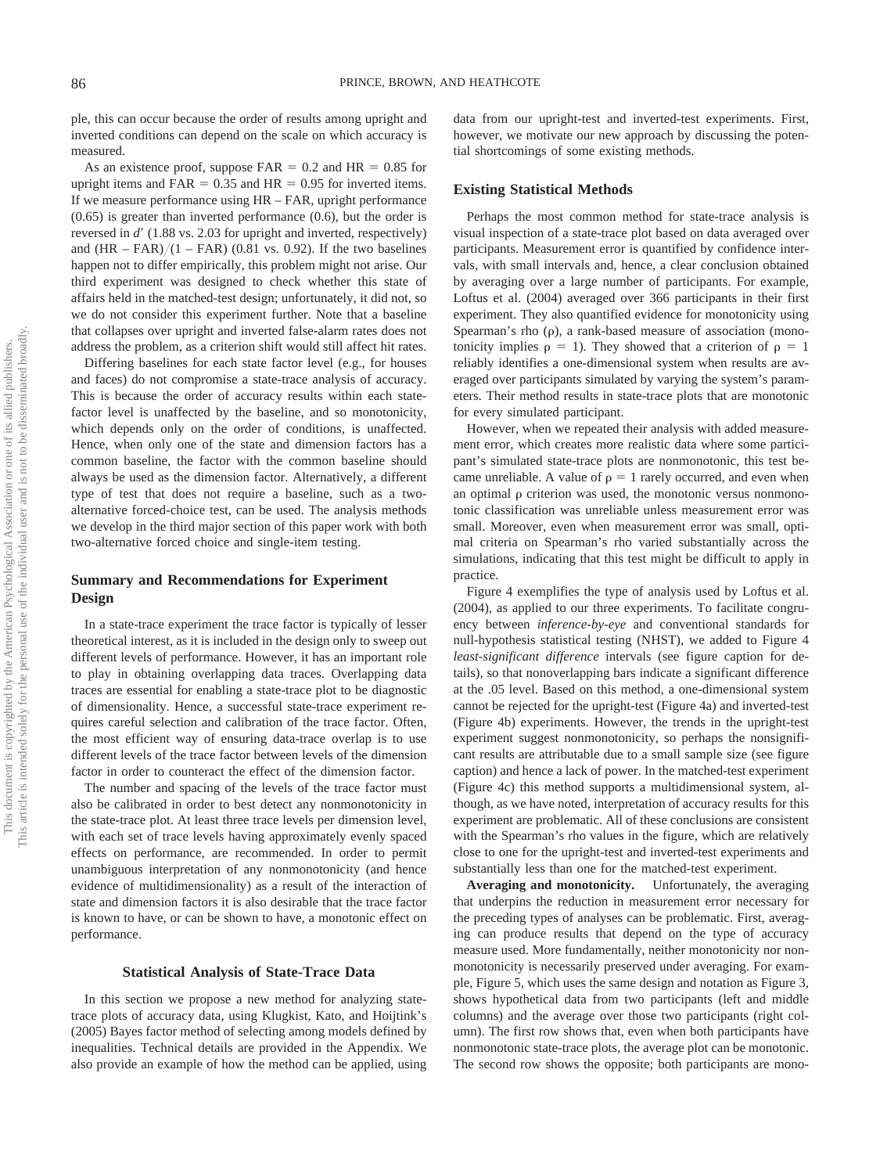ple, this can occur because the order of results among upright and inverted conditions can depend on the scale on which accuracy is measured.

As an existence proof, suppose  $FAR = 0.2$  and  $HR = 0.85$  for upright items and  $FAR = 0.35$  and  $HR = 0.95$  for inverted items. If we measure performance using HR – FAR, upright performance (0.65) is greater than inverted performance (0.6), but the order is reversed in *d'* (1.88 vs. 2.03 for upright and inverted, respectively) and  $(HR - FAR)/(1 - FAR)$  (0.81 vs. 0.92). If the two baselines happen not to differ empirically, this problem might not arise. Our third experiment was designed to check whether this state of affairs held in the matched-test design; unfortunately, it did not, so we do not consider this experiment further. Note that a baseline that collapses over upright and inverted false-alarm rates does not address the problem, as a criterion shift would still affect hit rates.

Differing baselines for each state factor level (e.g., for houses and faces) do not compromise a state-trace analysis of accuracy. This is because the order of accuracy results within each statefactor level is unaffected by the baseline, and so monotonicity, which depends only on the order of conditions, is unaffected. Hence, when only one of the state and dimension factors has a common baseline, the factor with the common baseline should always be used as the dimension factor. Alternatively, a different type of test that does not require a baseline, such as a twoalternative forced-choice test, can be used. The analysis methods we develop in the third major section of this paper work with both two-alternative forced choice and single-item testing.

# **Summary and Recommendations for Experiment Design**

In a state-trace experiment the trace factor is typically of lesser theoretical interest, as it is included in the design only to sweep out different levels of performance. However, it has an important role to play in obtaining overlapping data traces. Overlapping data traces are essential for enabling a state-trace plot to be diagnostic of dimensionality. Hence, a successful state-trace experiment requires careful selection and calibration of the trace factor. Often, the most efficient way of ensuring data-trace overlap is to use different levels of the trace factor between levels of the dimension factor in order to counteract the effect of the dimension factor.

The number and spacing of the levels of the trace factor must also be calibrated in order to best detect any nonmonotonicity in the state-trace plot. At least three trace levels per dimension level, with each set of trace levels having approximately evenly spaced effects on performance, are recommended. In order to permit unambiguous interpretation of any nonmonotonicity (and hence evidence of multidimensionality) as a result of the interaction of state and dimension factors it is also desirable that the trace factor is known to have, or can be shown to have, a monotonic effect on performance.

#### **Statistical Analysis of State-Trace Data**

In this section we propose a new method for analyzing statetrace plots of accuracy data, using Klugkist, Kato, and Hoijtink's (2005) Bayes factor method of selecting among models defined by inequalities. Technical details are provided in the Appendix. We also provide an example of how the method can be applied, using

data from our upright-test and inverted-test experiments. First, however, we motivate our new approach by discussing the potential shortcomings of some existing methods.

### **Existing Statistical Methods**

Perhaps the most common method for state-trace analysis is visual inspection of a state-trace plot based on data averaged over participants. Measurement error is quantified by confidence intervals, with small intervals and, hence, a clear conclusion obtained by averaging over a large number of participants. For example, Loftus et al. (2004) averaged over 366 participants in their first experiment. They also quantified evidence for monotonicity using Spearman's rho  $(\rho)$ , a rank-based measure of association (monotonicity implies  $\rho = 1$ ). They showed that a criterion of  $\rho = 1$ reliably identifies a one-dimensional system when results are averaged over participants simulated by varying the system's parameters. Their method results in state-trace plots that are monotonic for every simulated participant.

However, when we repeated their analysis with added measurement error, which creates more realistic data where some participant's simulated state-trace plots are nonmonotonic, this test became unreliable. A value of  $\rho = 1$  rarely occurred, and even when an optimal  $\rho$  criterion was used, the monotonic versus nonmonotonic classification was unreliable unless measurement error was small. Moreover, even when measurement error was small, optimal criteria on Spearman's rho varied substantially across the simulations, indicating that this test might be difficult to apply in practice.

Figure 4 exemplifies the type of analysis used by Loftus et al. (2004), as applied to our three experiments. To facilitate congruency between *inference-by-eye* and conventional standards for null-hypothesis statistical testing (NHST), we added to Figure 4 *least-significant difference* intervals (see figure caption for details), so that nonoverlapping bars indicate a significant difference at the .05 level. Based on this method, a one-dimensional system cannot be rejected for the upright-test (Figure 4a) and inverted-test (Figure 4b) experiments. However, the trends in the upright-test experiment suggest nonmonotonicity, so perhaps the nonsignificant results are attributable due to a small sample size (see figure caption) and hence a lack of power. In the matched-test experiment (Figure 4c) this method supports a multidimensional system, although, as we have noted, interpretation of accuracy results for this experiment are problematic. All of these conclusions are consistent with the Spearman's rho values in the figure, which are relatively close to one for the upright-test and inverted-test experiments and substantially less than one for the matched-test experiment.

**Averaging and monotonicity.** Unfortunately, the averaging that underpins the reduction in measurement error necessary for the preceding types of analyses can be problematic. First, averaging can produce results that depend on the type of accuracy measure used. More fundamentally, neither monotonicity nor nonmonotonicity is necessarily preserved under averaging. For example, Figure 5, which uses the same design and notation as Figure 3, shows hypothetical data from two participants (left and middle columns) and the average over those two participants (right column). The first row shows that, even when both participants have nonmonotonic state-trace plots, the average plot can be monotonic. The second row shows the opposite; both participants are mono-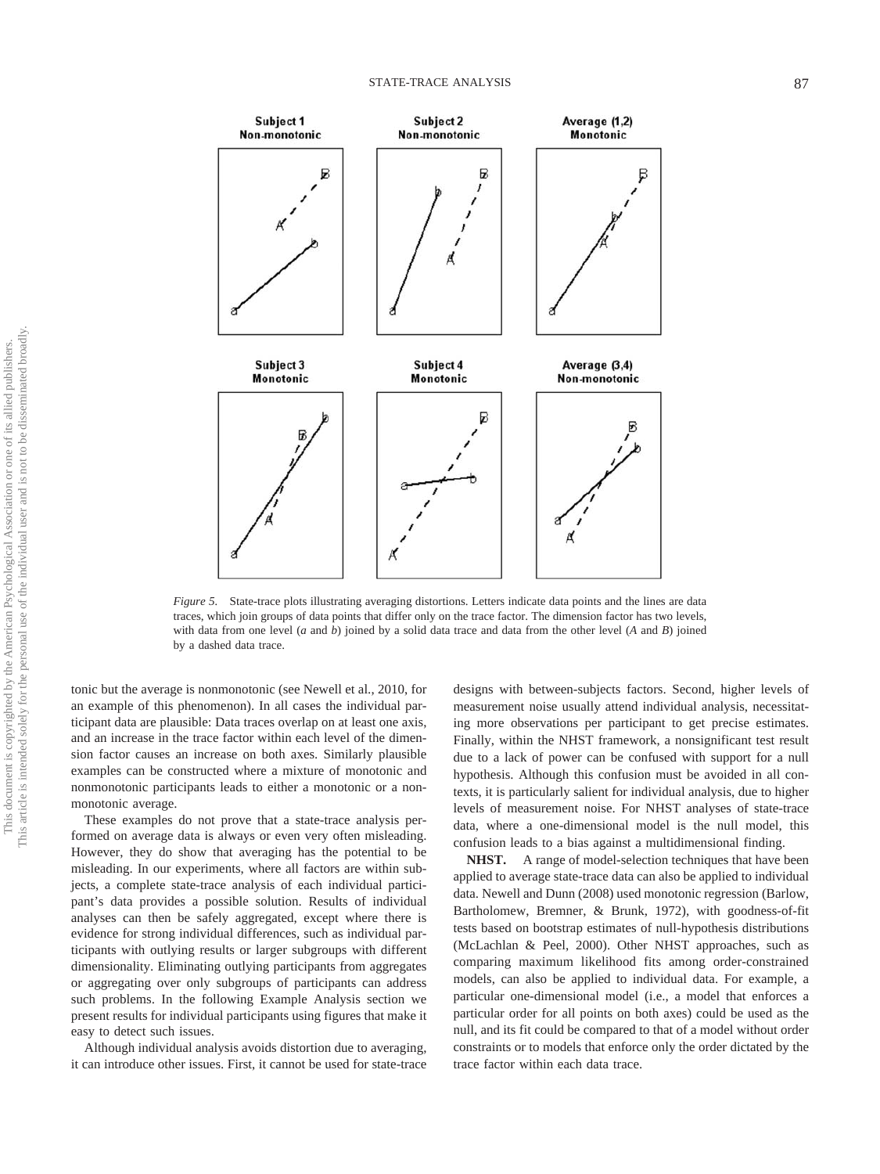

*Figure 5.* State-trace plots illustrating averaging distortions. Letters indicate data points and the lines are data traces, which join groups of data points that differ only on the trace factor. The dimension factor has two levels, with data from one level (*a* and *b*) joined by a solid data trace and data from the other level (*A* and *B*) joined by a dashed data trace.

tonic but the average is nonmonotonic (see Newell et al., 2010, for an example of this phenomenon). In all cases the individual participant data are plausible: Data traces overlap on at least one axis, and an increase in the trace factor within each level of the dimension factor causes an increase on both axes. Similarly plausible examples can be constructed where a mixture of monotonic and nonmonotonic participants leads to either a monotonic or a nonmonotonic average.

These examples do not prove that a state-trace analysis performed on average data is always or even very often misleading. However, they do show that averaging has the potential to be misleading. In our experiments, where all factors are within subjects, a complete state-trace analysis of each individual participant's data provides a possible solution. Results of individual analyses can then be safely aggregated, except where there is evidence for strong individual differences, such as individual participants with outlying results or larger subgroups with different dimensionality. Eliminating outlying participants from aggregates or aggregating over only subgroups of participants can address such problems. In the following Example Analysis section we present results for individual participants using figures that make it easy to detect such issues.

Although individual analysis avoids distortion due to averaging, it can introduce other issues. First, it cannot be used for state-trace designs with between-subjects factors. Second, higher levels of measurement noise usually attend individual analysis, necessitating more observations per participant to get precise estimates. Finally, within the NHST framework, a nonsignificant test result due to a lack of power can be confused with support for a null hypothesis. Although this confusion must be avoided in all contexts, it is particularly salient for individual analysis, due to higher levels of measurement noise. For NHST analyses of state-trace data, where a one-dimensional model is the null model, this confusion leads to a bias against a multidimensional finding.

**NHST.** A range of model-selection techniques that have been applied to average state-trace data can also be applied to individual data. Newell and Dunn (2008) used monotonic regression (Barlow, Bartholomew, Bremner, & Brunk, 1972), with goodness-of-fit tests based on bootstrap estimates of null-hypothesis distributions (McLachlan & Peel, 2000). Other NHST approaches, such as comparing maximum likelihood fits among order-constrained models, can also be applied to individual data. For example, a particular one-dimensional model (i.e., a model that enforces a particular order for all points on both axes) could be used as the null, and its fit could be compared to that of a model without order constraints or to models that enforce only the order dictated by the trace factor within each data trace.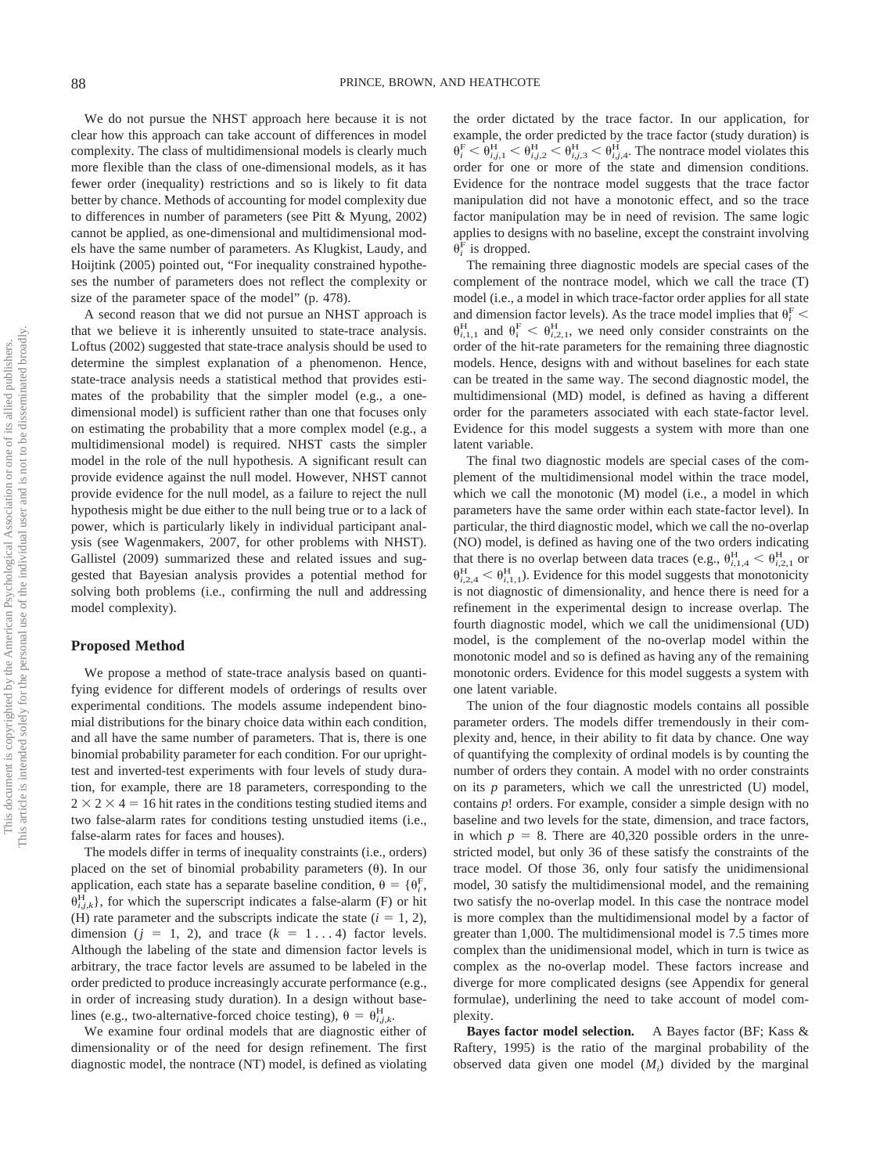We do not pursue the NHST approach here because it is not clear how this approach can take account of differences in model complexity. The class of multidimensional models is clearly much more flexible than the class of one-dimensional models, as it has fewer order (inequality) restrictions and so is likely to fit data better by chance. Methods of accounting for model complexity due to differences in number of parameters (see Pitt & Myung, 2002) cannot be applied, as one-dimensional and multidimensional models have the same number of parameters. As Klugkist, Laudy, and Hoijtink (2005) pointed out, "For inequality constrained hypotheses the number of parameters does not reflect the complexity or size of the parameter space of the model" (p. 478).

A second reason that we did not pursue an NHST approach is that we believe it is inherently unsuited to state-trace analysis. Loftus (2002) suggested that state-trace analysis should be used to determine the simplest explanation of a phenomenon. Hence, state-trace analysis needs a statistical method that provides estimates of the probability that the simpler model (e.g., a onedimensional model) is sufficient rather than one that focuses only on estimating the probability that a more complex model (e.g., a multidimensional model) is required. NHST casts the simpler model in the role of the null hypothesis. A significant result can provide evidence against the null model. However, NHST cannot provide evidence for the null model, as a failure to reject the null hypothesis might be due either to the null being true or to a lack of power, which is particularly likely in individual participant analysis (see Wagenmakers, 2007, for other problems with NHST). Gallistel (2009) summarized these and related issues and suggested that Bayesian analysis provides a potential method for solving both problems (i.e., confirming the null and addressing model complexity).

# **Proposed Method**

We propose a method of state-trace analysis based on quantifying evidence for different models of orderings of results over experimental conditions. The models assume independent binomial distributions for the binary choice data within each condition, and all have the same number of parameters. That is, there is one binomial probability parameter for each condition. For our uprighttest and inverted-test experiments with four levels of study duration, for example, there are 18 parameters, corresponding to the  $2 \times 2 \times 4 = 16$  hit rates in the conditions testing studied items and two false-alarm rates for conditions testing unstudied items (i.e., false-alarm rates for faces and houses).

The models differ in terms of inequality constraints (i.e., orders) placed on the set of binomial probability parameters  $(\theta)$ . In our application, each state has a separate baseline condition,  $\theta = \{\theta_i^F,$  $\theta_{i,j,k}^{\text{H}}$ , for which the superscript indicates a false-alarm (F) or hit (H) rate parameter and the subscripts indicate the state  $(i = 1, 2)$ , dimension  $(j = 1, 2)$ , and trace  $(k = 1...4)$  factor levels. Although the labeling of the state and dimension factor levels is arbitrary, the trace factor levels are assumed to be labeled in the order predicted to produce increasingly accurate performance (e.g., in order of increasing study duration). In a design without baselines (e.g., two-alternative-forced choice testing),  $\theta = \theta_{i,j,k}^{\text{H}}$ .

We examine four ordinal models that are diagnostic either of dimensionality or of the need for design refinement. The first diagnostic model, the nontrace (NT) model, is defined as violating

the order dictated by the trace factor. In our application, for example, the order predicted by the trace factor (study duration) is  $\theta_i^{\text{F}} < \theta_{i,j,1}^{\text{H}} < \theta_{i,j,2}^{\text{H}} < \theta_{i,j,3}^{\text{H}} < \theta_{i,j,4}^{\text{H}}$ . The nontrace model violates this order for one or more of the state and dimension conditions. Evidence for the nontrace model suggests that the trace factor manipulation did not have a monotonic effect, and so the trace factor manipulation may be in need of revision. The same logic applies to designs with no baseline, except the constraint involving  $\theta_i^{\text{F}}$  is dropped.

The remaining three diagnostic models are special cases of the complement of the nontrace model, which we call the trace (T) model (i.e., a model in which trace-factor order applies for all state and dimension factor levels). As the trace model implies that  $\theta_i^{\text{F}}$  <  $\theta_{i,1,1}^{\text{H}}$  and  $\theta_i^{\text{F}} < \theta_{i,2,1}^{\text{H}}$ , we need only consider constraints on the order of the hit-rate parameters for the remaining three diagnostic models. Hence, designs with and without baselines for each state can be treated in the same way. The second diagnostic model, the multidimensional (MD) model, is defined as having a different order for the parameters associated with each state-factor level. Evidence for this model suggests a system with more than one latent variable.

The final two diagnostic models are special cases of the complement of the multidimensional model within the trace model, which we call the monotonic (M) model (i.e., a model in which parameters have the same order within each state-factor level). In particular, the third diagnostic model, which we call the no-overlap (NO) model, is defined as having one of the two orders indicating that there is no overlap between data traces (e.g.,  $\theta_{i,1,4}^{\text{H}} < \theta_{i,2,1}^{\text{H}}$  or  $\theta_{i,2,4}^{\text{H}} < \theta_{i,1,1}^{\text{H}}$ ). Evidence for this model suggests that monotonicity is not diagnostic of dimensionality, and hence there is need for a refinement in the experimental design to increase overlap. The fourth diagnostic model, which we call the unidimensional (UD) model, is the complement of the no-overlap model within the monotonic model and so is defined as having any of the remaining monotonic orders. Evidence for this model suggests a system with one latent variable.

The union of the four diagnostic models contains all possible parameter orders. The models differ tremendously in their complexity and, hence, in their ability to fit data by chance. One way of quantifying the complexity of ordinal models is by counting the number of orders they contain. A model with no order constraints on its *p* parameters, which we call the unrestricted (U) model, contains *p*! orders. For example, consider a simple design with no baseline and two levels for the state, dimension, and trace factors, in which  $p = 8$ . There are 40,320 possible orders in the unrestricted model, but only 36 of these satisfy the constraints of the trace model. Of those 36, only four satisfy the unidimensional model, 30 satisfy the multidimensional model, and the remaining two satisfy the no-overlap model. In this case the nontrace model is more complex than the multidimensional model by a factor of greater than 1,000. The multidimensional model is 7.5 times more complex than the unidimensional model, which in turn is twice as complex as the no-overlap model. These factors increase and diverge for more complicated designs (see Appendix for general formulae), underlining the need to take account of model complexity.

**Bayes factor model selection.** A Bayes factor (BF; Kass & Raftery, 1995) is the ratio of the marginal probability of the observed data given one model (*Mi* ) divided by the marginal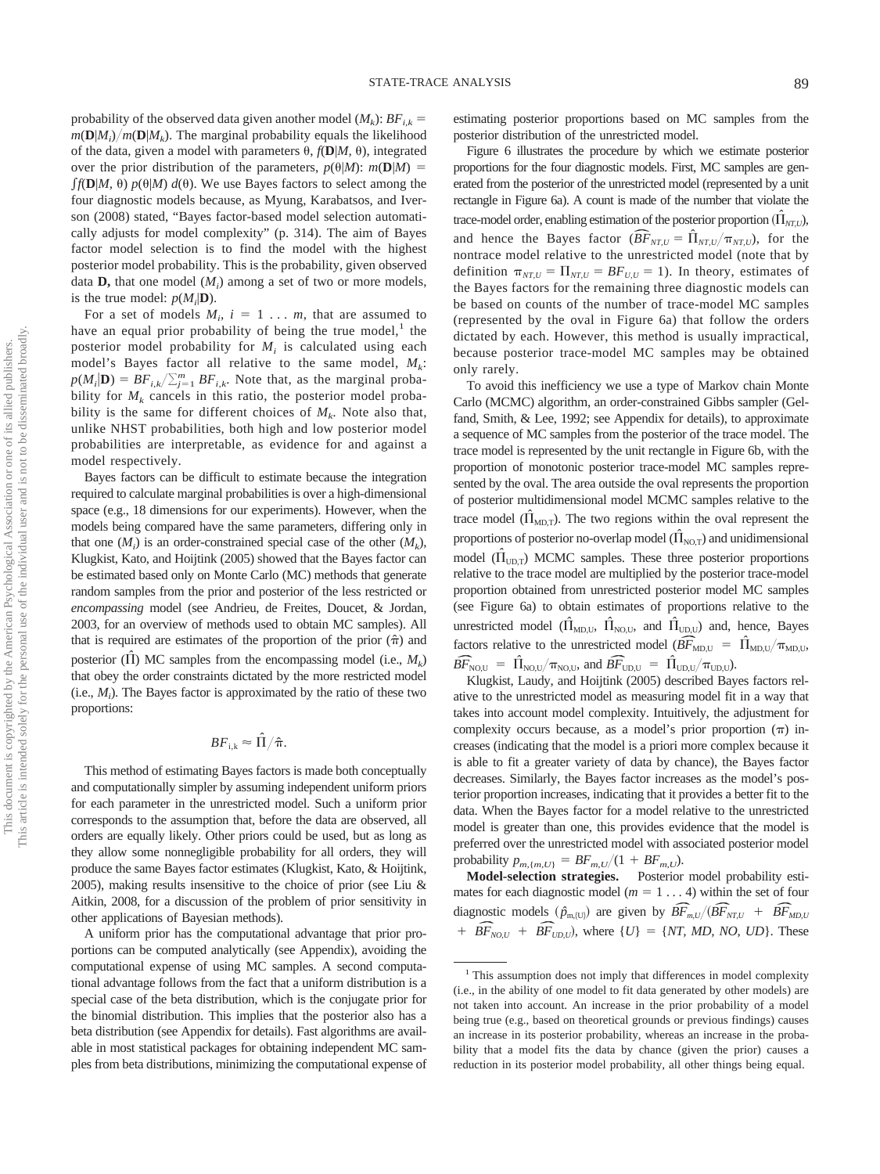probability of the observed data given another model  $(M_k)$ :  $BF_{ik}$  $m(\mathbf{D}|M_i)/m(\mathbf{D}|M_k)$ . The marginal probability equals the likelihood of the data, given a model with parameters  $\theta$ ,  $f(\mathbf{D}|M, \theta)$ , integrated over the prior distribution of the parameters,  $p(\theta|M)$ :  $m(\mathbf{D}|M)$  =  $f(\mathbf{D}|M, \theta)$   $p(\theta|M)$   $d(\theta)$ . We use Bayes factors to select among the four diagnostic models because, as Myung, Karabatsos, and Iverson (2008) stated, "Bayes factor-based model selection automatically adjusts for model complexity" (p. 314). The aim of Bayes factor model selection is to find the model with the highest posterior model probability. This is the probability, given observed data **D,** that one model (*Mi* ) among a set of two or more models, is the true model:  $p(M_i|\mathbf{D})$ .

For a set of models  $M_i$ ,  $i = 1, \ldots, m$ , that are assumed to have an equal prior probability of being the true model, $<sup>1</sup>$  the</sup> posterior model probability for  $M_i$  is calculated using each model's Bayes factor all relative to the same model,  $M_k$ .  $p(M_i|\mathbf{D}) = BF_{i,k}/\sum_{j=1}^m BF_{i,k}$ . Note that, as the marginal probability for  $M_k$  cancels in this ratio, the posterior model probability is the same for different choices of  $M_k$ . Note also that, unlike NHST probabilities, both high and low posterior model probabilities are interpretable, as evidence for and against a model respectively.

Bayes factors can be difficult to estimate because the integration required to calculate marginal probabilities is over a high-dimensional space (e.g., 18 dimensions for our experiments). However, when the models being compared have the same parameters, differing only in that one  $(M_i)$  is an order-constrained special case of the other  $(M_k)$ , Klugkist, Kato, and Hoijtink (2005) showed that the Bayes factor can be estimated based only on Monte Carlo (MC) methods that generate random samples from the prior and posterior of the less restricted or *encompassing* model (see Andrieu, de Freites, Doucet, & Jordan, 2003, for an overview of methods used to obtain MC samples). All that is required are estimates of the proportion of the prior  $(\hat{\pi})$  and posterior  $(\hat{\Pi})$  MC samples from the encompassing model (i.e.,  $M_k$ ) that obey the order constraints dictated by the more restricted model  $(i.e.,  $M_i$ ). The Bayes factor is approximated by the ratio of these two$ proportions:

# $BF_{\text{i,k}} \approx \hat{\Pi}/\hat{\pi}.$

This method of estimating Bayes factors is made both conceptually and computationally simpler by assuming independent uniform priors for each parameter in the unrestricted model. Such a uniform prior corresponds to the assumption that, before the data are observed, all orders are equally likely. Other priors could be used, but as long as they allow some nonnegligible probability for all orders, they will produce the same Bayes factor estimates (Klugkist, Kato, & Hoijtink, 2005), making results insensitive to the choice of prior (see Liu & Aitkin, 2008, for a discussion of the problem of prior sensitivity in other applications of Bayesian methods).

A uniform prior has the computational advantage that prior proportions can be computed analytically (see Appendix), avoiding the computational expense of using MC samples. A second computational advantage follows from the fact that a uniform distribution is a special case of the beta distribution, which is the conjugate prior for the binomial distribution. This implies that the posterior also has a beta distribution (see Appendix for details). Fast algorithms are available in most statistical packages for obtaining independent MC samples from beta distributions, minimizing the computational expense of estimating posterior proportions based on MC samples from the posterior distribution of the unrestricted model.

Figure 6 illustrates the procedure by which we estimate posterior proportions for the four diagnostic models. First, MC samples are generated from the posterior of the unrestricted model (represented by a unit rectangle in Figure 6a). A count is made of the number that violate the trace-model order, enabling estimation of the posterior proportion  $(\hat{\Pi}_{NTU})$ , trace-model order, enabling estimation of the posterior proportion  $(\hat{\Pi}_{NT,U})$ ,<br>and hence the Bayes factor  $(\widehat{BF}_{NT,U} = \hat{\Pi}_{NT,U}/\pi_{NT,U})$ , for the nontrace model relative to the unrestricted model (note that by definition  $\pi_{NT,U} = \prod_{NT,U} = BF_{U,U} = 1$ ). In theory, estimates of the Bayes factors for the remaining three diagnostic models can be based on counts of the number of trace-model MC samples (represented by the oval in Figure 6a) that follow the orders dictated by each. However, this method is usually impractical, because posterior trace-model MC samples may be obtained only rarely.

To avoid this inefficiency we use a type of Markov chain Monte Carlo (MCMC) algorithm, an order-constrained Gibbs sampler (Gelfand, Smith, & Lee, 1992; see Appendix for details), to approximate a sequence of MC samples from the posterior of the trace model. The trace model is represented by the unit rectangle in Figure 6b, with the proportion of monotonic posterior trace-model MC samples represented by the oval. The area outside the oval represents the proportion of posterior multidimensional model MCMC samples relative to the trace model ( $\hat{\Pi}_{MD,T}$ ). The two regions within the oval represent the proportions of posterior no-overlap model  $(\hat{\Pi}_{\text{NO,T}})$  and unidimensional model  $(\hat{\Pi}_{UD,T})$  MCMC samples. These three posterior proportions relative to the trace model are multiplied by the posterior trace-model proportion obtained from unrestricted posterior model MC samples (see Figure 6a) to obtain estimates of proportions relative to the unrestricted model ( $\hat{\Pi}_{MD,U}$ ,  $\hat{\Pi}_{NO,U}$ , and  $\hat{\Pi}_{UD,U}$ ) and, hence, Bayes factors relative to the unrestricted model ( $\hat{BF}_{MD,U} = \hat{\Pi}_{MD,U}/\pi_{MD,U}$ ,  $\hat{\Pi}_{\text{MD,U}} \; = \; \hat{\Pi}_{\text{MD,U}} / \pi_{\text{MD,U}},$  $B\widehat{F}_{\text{NO,U}} = \widehat{\Pi}_{\text{NO,U}} / \pi_{\text{NO,U}}$ , and  $B\widehat{F}$  $\hat{H}_{\text{NO,U}} = \hat{\Pi}_{\text{NO,U}} / \pi_{\text{NO,U}}$ , and  $\hat{\text{BF}}_{\text{UD,U}} = \hat{\Pi}_{\text{UD,U}} / \pi_{\text{UD,U}}$ .

Klugkist, Laudy, and Hoijtink (2005) described Bayes factors relative to the unrestricted model as measuring model fit in a way that takes into account model complexity. Intuitively, the adjustment for complexity occurs because, as a model's prior proportion  $(\pi)$  increases (indicating that the model is a priori more complex because it is able to fit a greater variety of data by chance), the Bayes factor decreases. Similarly, the Bayes factor increases as the model's posterior proportion increases, indicating that it provides a better fit to the data. When the Bayes factor for a model relative to the unrestricted model is greater than one, this provides evidence that the model is preferred over the unrestricted model with associated posterior model probability  $p_{m, \{m, U\}} = BF_{m, U}/(1 + BF_{m, U}).$ 

**Model-selection strategies.** Posterior model probability estimates for each diagnostic model ( $m = 1 ... 4$ ) within the set of four **Model-selection strategies.** Posterior model probability estimates for each diagnostic model  $(m = 1 ... 4)$  within the set of four diagnostic models  $(\hat{p}_{m,\text{U}})$  are given by  $\widehat{BF}_{m,U}/(\widehat{BF}_{NT,U} + \widehat{BF}_{MD,U})$ fraces for each diagnostic model  $(m - 1 ... 4)$  within the set of four<br> **Hagnostic models**  $(\hat{p}_{m,(U)})$  are given by  $\widehat{BF}_{m,U}/(\widehat{BF}_{NT,U} + \widehat{BF}_{MD,U})$ <br>  $+ \widehat{BF}_{NO,U} + \widehat{BF}_{UD,U}$ , where  $\{U\} = \{NT, MD, NO, UD\}$ . These

<sup>&</sup>lt;sup>1</sup> This assumption does not imply that differences in model complexity (i.e., in the ability of one model to fit data generated by other models) are not taken into account. An increase in the prior probability of a model being true (e.g., based on theoretical grounds or previous findings) causes an increase in its posterior probability, whereas an increase in the probability that a model fits the data by chance (given the prior) causes a reduction in its posterior model probability, all other things being equal.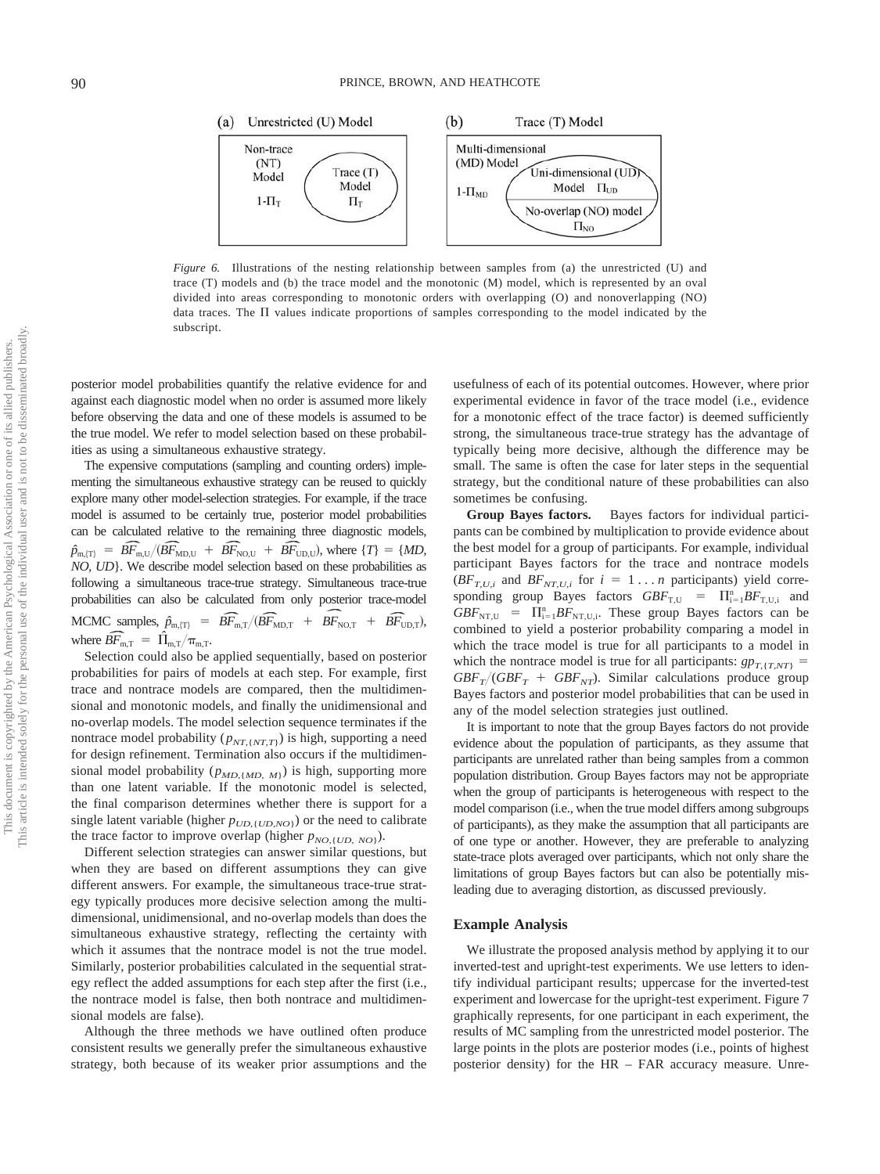

*Figure 6.* Illustrations of the nesting relationship between samples from (a) the unrestricted (U) and trace (T) models and (b) the trace model and the monotonic (M) model, which is represented by an oval divided into areas corresponding to monotonic orders with overlapping (O) and nonoverlapping (NO) data traces. The  $\Pi$  values indicate proportions of samples corresponding to the model indicated by the subscript.

posterior model probabilities quantify the relative evidence for and against each diagnostic model when no order is assumed more likely before observing the data and one of these models is assumed to be the true model. We refer to model selection based on these probabilities as using a simultaneous exhaustive strategy.

The expensive computations (sampling and counting orders) implementing the simultaneous exhaustive strategy can be reused to quickly explore many other model-selection strategies. For example, if the trace model is assumed to be certainly true, posterior model probabilities can be calculated relative to the remaining three diagnostic models, model is assumed to be certainly true, pos<br>
can be calculated relative to the remaining<br>  $\hat{p}_{m,[T]} = \widehat{BF}_{m,U}/(\widehat{BF}_{MD,U} + \widehat{BF}_{N0,U} + \widehat{BF}_{F}$  $\overline{BF}_{\text{MD,U}} + \overline{BF}_{\text{NO,U}} + \overline{BF}_{\text{UD,U}}$ , where  $\{T\} = \{MD,$ *NO, UD*}. We describe model selection based on these probabilities as following a simultaneous trace-true strategy. Simultaneous trace-true probabilities can also be calculated from only posterior trace-model following a simultaneous trace-true strategy. Simultaneous trace-true<br>probabilities can also be calculated from only posterior trace-model<br>MCMC samples,  $\hat{p}_{m,\text{[T]}} = \widehat{BF}_{m,\text{T}}/(\widehat{BF}_{MD,\text{T}} + \widehat{BF}_{NO,\text{T}} + \widehat{BF}_{UD,\text{T}})$ , **MCMC** s<br>where  $\widehat{BF}_P$  $\hat{\Pi}_{\mathrm{m,T}} = \hat{\Pi}_{\mathrm{m,T}} / \pi_{\mathrm{m,T}}.$ 

Selection could also be applied sequentially, based on posterior probabilities for pairs of models at each step. For example, first trace and nontrace models are compared, then the multidimensional and monotonic models, and finally the unidimensional and no-overlap models. The model selection sequence terminates if the nontrace model probability ( $p_{NT, {N}T, T}$ ) is high, supporting a need for design refinement. Termination also occurs if the multidimensional model probability ( $p_{MD, \{MD, M\}}$ ) is high, supporting more than one latent variable. If the monotonic model is selected, the final comparison determines whether there is support for a single latent variable (higher  $p_{UD, \{UD, NO\}}$ ) or the need to calibrate the trace factor to improve overlap (higher  $p_{NO,\{UD,\ NO\}}$ ).

Different selection strategies can answer similar questions, but when they are based on different assumptions they can give different answers. For example, the simultaneous trace-true strategy typically produces more decisive selection among the multidimensional, unidimensional, and no-overlap models than does the simultaneous exhaustive strategy, reflecting the certainty with which it assumes that the nontrace model is not the true model. Similarly, posterior probabilities calculated in the sequential strategy reflect the added assumptions for each step after the first (i.e., the nontrace model is false, then both nontrace and multidimensional models are false).

Although the three methods we have outlined often produce consistent results we generally prefer the simultaneous exhaustive strategy, both because of its weaker prior assumptions and the usefulness of each of its potential outcomes. However, where prior experimental evidence in favor of the trace model (i.e., evidence for a monotonic effect of the trace factor) is deemed sufficiently strong, the simultaneous trace-true strategy has the advantage of typically being more decisive, although the difference may be small. The same is often the case for later steps in the sequential strategy, but the conditional nature of these probabilities can also sometimes be confusing.

**Group Bayes factors.** Bayes factors for individual participants can be combined by multiplication to provide evidence about the best model for a group of participants. For example, individual participant Bayes factors for the trace and nontrace models  $(BF_{T,U,i}$  and  $BF_{NT,U,i}$  for  $i = 1...n$  participants) yield corresponding group Bayes factors  $GBF_{T,U}$  =  $\Pi_{i=1}^{n}BF_{T,U,i}$  and  $GBF_{NT,U}$  =  $\Pi_{i=1}^{n}BF_{NT,U,i}$ . These group Bayes factors can be combined to yield a posterior probability comparing a model in which the trace model is true for all participants to a model in which the nontrace model is true for all participants:  $gp_{T, \{T, NT\}} =$  $GBF_T/(GBF_T + GBF_{NT})$ . Similar calculations produce group Bayes factors and posterior model probabilities that can be used in any of the model selection strategies just outlined.

It is important to note that the group Bayes factors do not provide evidence about the population of participants, as they assume that participants are unrelated rather than being samples from a common population distribution. Group Bayes factors may not be appropriate when the group of participants is heterogeneous with respect to the model comparison (i.e., when the true model differs among subgroups of participants), as they make the assumption that all participants are of one type or another. However, they are preferable to analyzing state-trace plots averaged over participants, which not only share the limitations of group Bayes factors but can also be potentially misleading due to averaging distortion, as discussed previously.

### **Example Analysis**

We illustrate the proposed analysis method by applying it to our inverted-test and upright-test experiments. We use letters to identify individual participant results; uppercase for the inverted-test experiment and lowercase for the upright-test experiment. Figure 7 graphically represents, for one participant in each experiment, the results of MC sampling from the unrestricted model posterior. The large points in the plots are posterior modes (i.e., points of highest posterior density) for the HR – FAR accuracy measure. Unre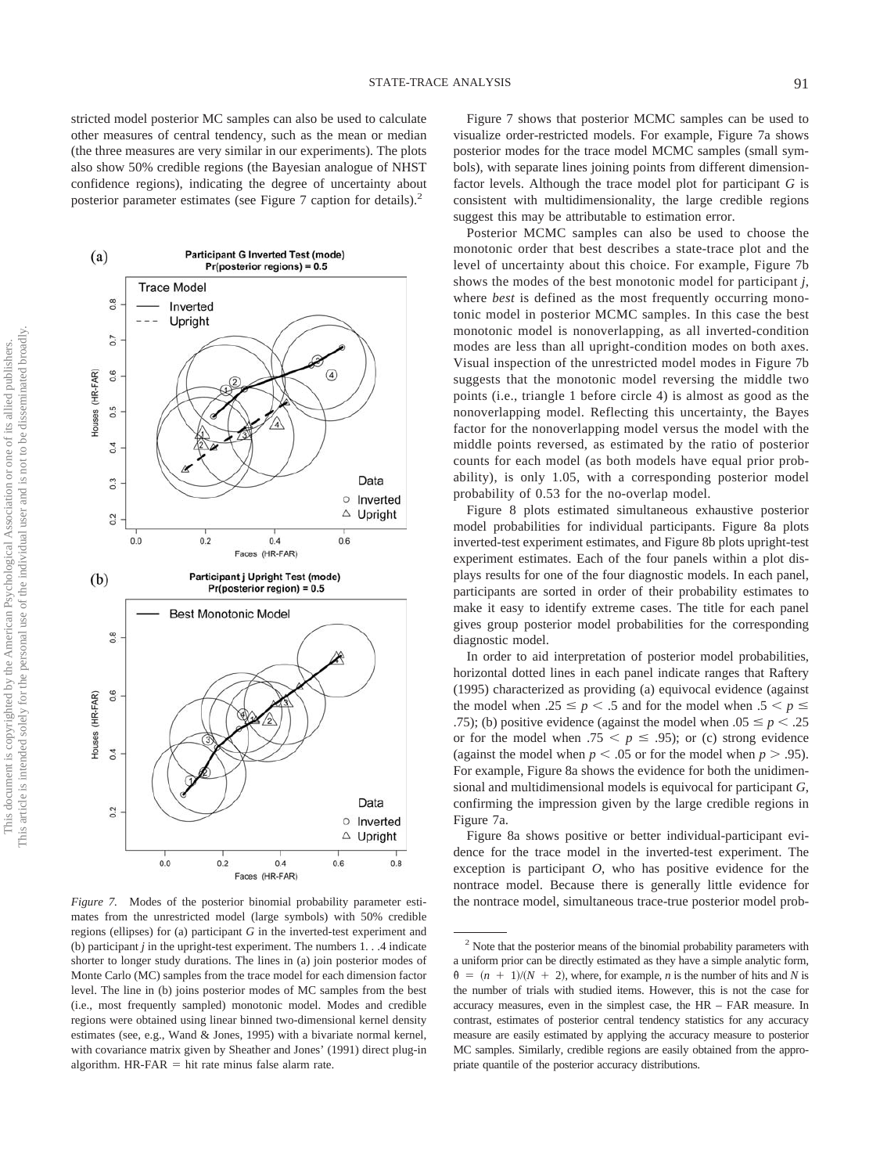stricted model posterior MC samples can also be used to calculate other measures of central tendency, such as the mean or median (the three measures are very similar in our experiments). The plots also show 50% credible regions (the Bayesian analogue of NHST confidence regions), indicating the degree of uncertainty about posterior parameter estimates (see Figure 7 caption for details).<sup>2</sup>



*Figure 7.* Modes of the posterior binomial probability parameter estimates from the unrestricted model (large symbols) with 50% credible regions (ellipses) for (a) participant *G* in the inverted-test experiment and (b) participant *j* in the upright-test experiment. The numbers 1. . .4 indicate shorter to longer study durations. The lines in (a) join posterior modes of Monte Carlo (MC) samples from the trace model for each dimension factor level. The line in (b) joins posterior modes of MC samples from the best (i.e., most frequently sampled) monotonic model. Modes and credible regions were obtained using linear binned two-dimensional kernel density estimates (see, e.g., Wand & Jones, 1995) with a bivariate normal kernel, with covariance matrix given by Sheather and Jones' (1991) direct plug-in algorithm.  $HR-FAR = hit$  rate minus false alarm rate.

Figure 7 shows that posterior MCMC samples can be used to visualize order-restricted models. For example, Figure 7a shows posterior modes for the trace model MCMC samples (small symbols), with separate lines joining points from different dimensionfactor levels. Although the trace model plot for participant *G* is consistent with multidimensionality, the large credible regions suggest this may be attributable to estimation error.

Posterior MCMC samples can also be used to choose the monotonic order that best describes a state-trace plot and the level of uncertainty about this choice. For example, Figure 7b shows the modes of the best monotonic model for participant *j*, where *best* is defined as the most frequently occurring monotonic model in posterior MCMC samples. In this case the best monotonic model is nonoverlapping, as all inverted-condition modes are less than all upright-condition modes on both axes. Visual inspection of the unrestricted model modes in Figure 7b suggests that the monotonic model reversing the middle two points (i.e., triangle 1 before circle 4) is almost as good as the nonoverlapping model. Reflecting this uncertainty, the Bayes factor for the nonoverlapping model versus the model with the middle points reversed, as estimated by the ratio of posterior counts for each model (as both models have equal prior probability), is only 1.05, with a corresponding posterior model probability of 0.53 for the no-overlap model.

Figure 8 plots estimated simultaneous exhaustive posterior model probabilities for individual participants. Figure 8a plots inverted-test experiment estimates, and Figure 8b plots upright-test experiment estimates. Each of the four panels within a plot displays results for one of the four diagnostic models. In each panel, participants are sorted in order of their probability estimates to make it easy to identify extreme cases. The title for each panel gives group posterior model probabilities for the corresponding diagnostic model.

In order to aid interpretation of posterior model probabilities, horizontal dotted lines in each panel indicate ranges that Raftery (1995) characterized as providing (a) equivocal evidence (against the model when  $.25 \le p \le .5$  and for the model when  $.5 \le p \le$ .75); (b) positive evidence (against the model when  $.05 \le p < .25$ or for the model when  $.75 < p \le .95$ ; or (c) strong evidence (against the model when  $p < .05$  or for the model when  $p > .95$ ). For example, Figure 8a shows the evidence for both the unidimensional and multidimensional models is equivocal for participant *G*, confirming the impression given by the large credible regions in Figure 7a.

Figure 8a shows positive or better individual-participant evidence for the trace model in the inverted-test experiment. The exception is participant *O*, who has positive evidence for the nontrace model. Because there is generally little evidence for the nontrace model, simultaneous trace-true posterior model prob-

 $^{\rm 2}$  Note that the posterior means of the binomial probability parameters with a uniform prior can be directly estimated as they have a simple analytic form,  $\theta = (n + 1)/(N + 2)$ , where, for example, *n* is the number of hits and *N* is the number of trials with studied items. However, this is not the case for accuracy measures, even in the simplest case, the HR – FAR measure. In contrast, estimates of posterior central tendency statistics for any accuracy measure are easily estimated by applying the accuracy measure to posterior MC samples. Similarly, credible regions are easily obtained from the appropriate quantile of the posterior accuracy distributions.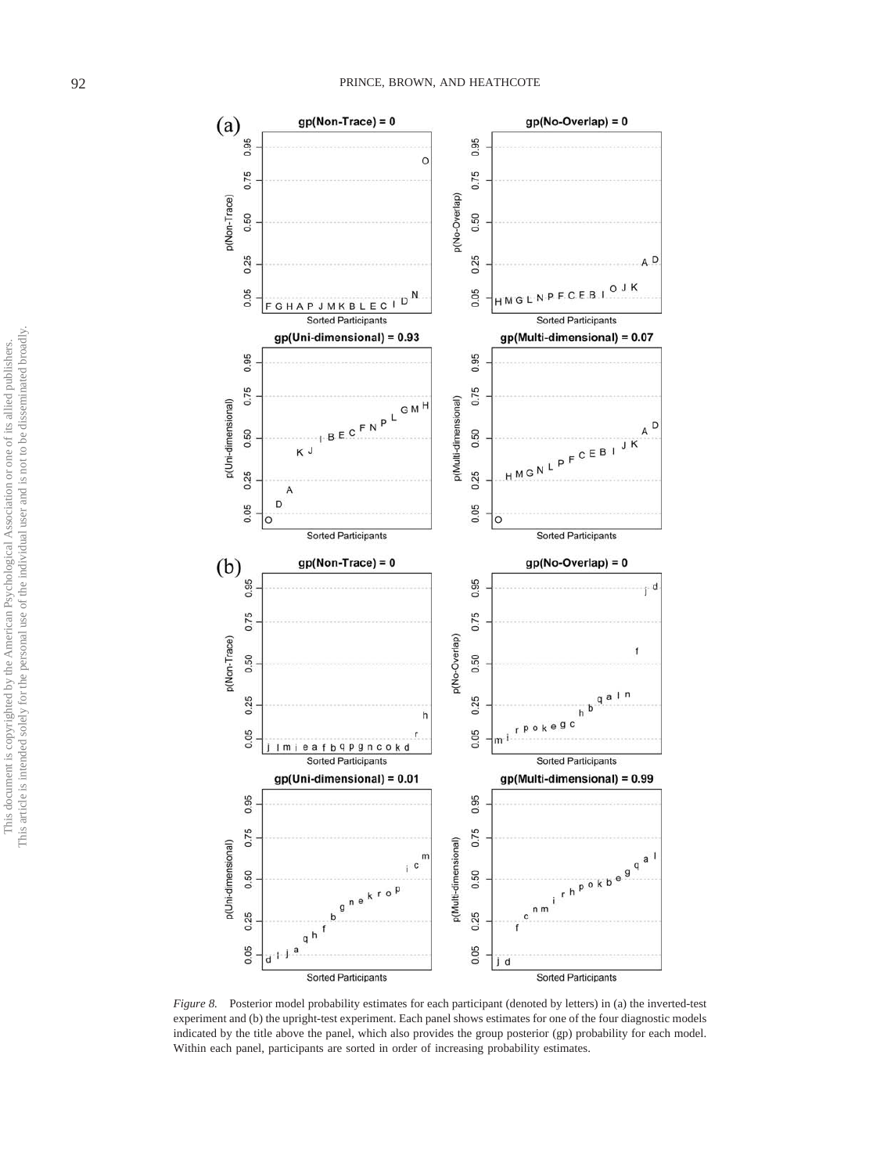This document is copyrighted by the American Psychological Association or one of its allied publishers. This article is intended solely for the personal use of the individual user and is not to be disseminated broadly.

This document is copyrighted by the American Psychological Association or one of its allied publishers.<br>This article is intended solely for the personal use of the individual user and is not to be disseminated broadly.



*Figure 8.* Posterior model probability estimates for each participant (denoted by letters) in (a) the inverted-test experiment and (b) the upright-test experiment. Each panel shows estimates for one of the four diagnostic models indicated by the title above the panel, which also provides the group posterior (gp) probability for each model. Within each panel, participants are sorted in order of increasing probability estimates.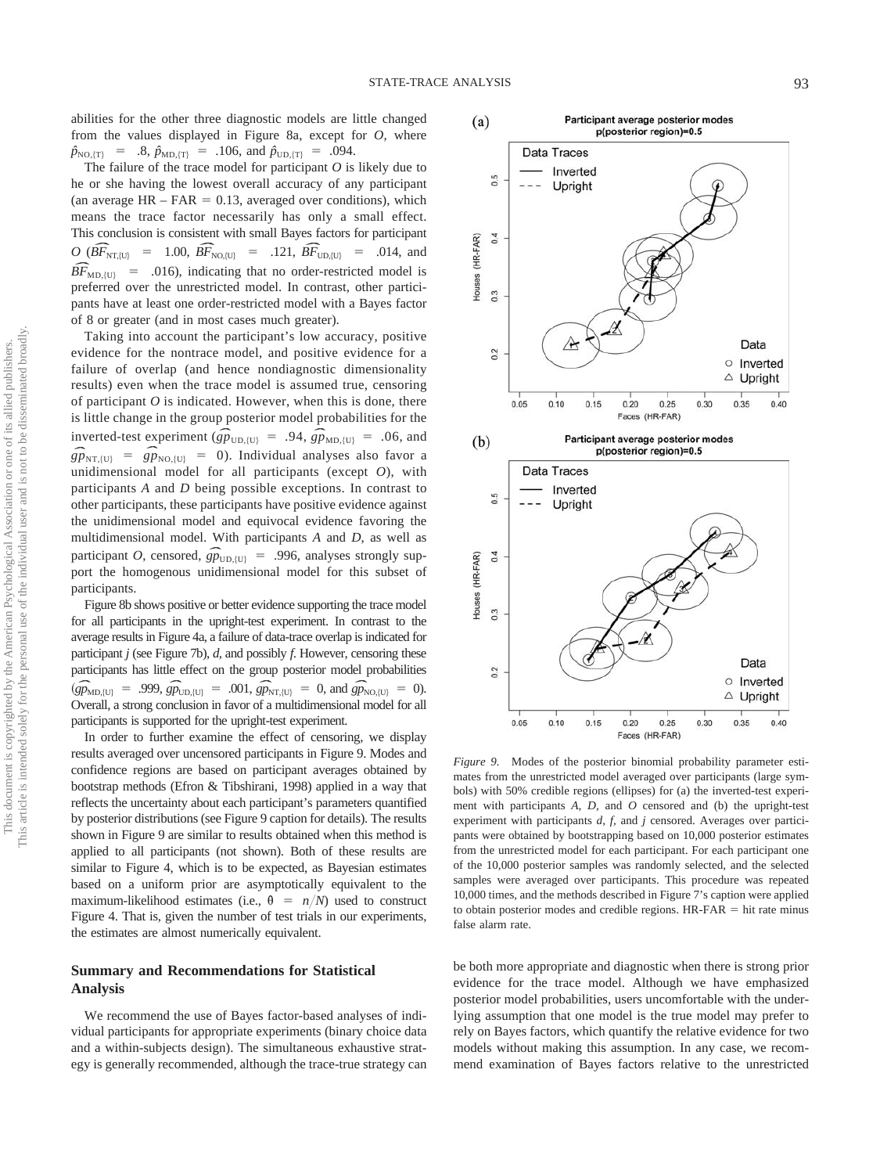abilities for the other three diagnostic models are little changed from the values displayed in Figure 8a, except for *O*, where  $\hat{p}_{NO,\lbrace T \rbrace}$  = .8,  $\hat{p}_{MD,\lbrace T \rbrace}$  = .106, and  $\hat{p}_{UD,\lbrace T \rbrace}$  = .094.

The failure of the trace model for participant *O* is likely due to he or she having the lowest overall accuracy of any participant (an average  $HR - FAR = 0.13$ , averaged over conditions), which means the trace factor necessarily has only a small effect. This conclusion is consistent with small Bayes factors for participant means the trace factor necessarily has only a small effect.<br>This conclusion is consistent with small Bayes factors for participant  $O(\widehat{BF}_{NT,\{U\}} = 1.00, \widehat{BF}_{NO,\{U\}} = .121, \widehat{BF}_{UD,\{U\}} = .014, \text{ and}$ *BFˆ*  $\widehat{BF}_{MD,\{U\}}$  = .016), indicating that no order-restricted model is preferred over the unrestricted model. In contrast, other participants have at least one order-restricted model with a Bayes factor of 8 or greater (and in most cases much greater).

Taking into account the participant's low accuracy, positive evidence for the nontrace model, and positive evidence for a failure of overlap (and hence nondiagnostic dimensionality results) even when the trace model is assumed true, censoring of participant *O* is indicated. However, when this is done, there is little change in the group posterior model probabilities for the is little change in the group posterior model probabilities for the inverted-test experiment  $(g\hat{p}_{UD,\{U\}} = .94, g\hat{p}_{MD,\{U\}} = .06$ , and  $g\hat{p}_{NT,\{U\}} = g\hat{p}_{NO,\{U\}} = 0$ ). Individual analyses also favor a  $\widehat{g_{PNT,U}} = \widehat{g_{PNO,[U]}} = 0$ . Individual analyses also favor a unidimensional model for all participants (except *O*), with participants *A* and *D* being possible exceptions. In contrast to other participants, these participants have positive evidence against the unidimensional model and equivocal evidence favoring the multidimensional model. With participants *A* and *D*, as well as participant *O*, censored,  $g_{\text{PUD, {U}}}=$  .996, analyses strongly supparticipant *O*, censored,  $\widehat{g_{\text{PUD,IU}}}$  = .996, analyses strongly support the homogenous unidimensional model for this subset of participants.

Figure 8b shows positive or better evidence supporting the trace model for all participants in the upright-test experiment. In contrast to the average results in Figure 4a, a failure of data-trace overlap is indicated for participant *j* (see Figure 7b), *d,* and possibly *f*. However, censoring these participants has little effect on the group posterior model probabilities participants has little effect on the group posterior model probabilities  $(g_{\text{PMD},\{U\}}^p = .999, g_{\text{PUD},\{U\}}^p = .001, g_{\text{PNT},\{U\}}^p = 0$ , and  $g_{\text{PNO},\{U\}}^p = 0$ . Overall, a strong conclusion in favor of a multidimensional model for all participants is supported for the upright-test experiment.

In order to further examine the effect of censoring, we display results averaged over uncensored participants in Figure 9. Modes and confidence regions are based on participant averages obtained by bootstrap methods (Efron & Tibshirani, 1998) applied in a way that reflects the uncertainty about each participant's parameters quantified by posterior distributions (see Figure 9 caption for details). The results shown in Figure 9 are similar to results obtained when this method is applied to all participants (not shown). Both of these results are similar to Figure 4, which is to be expected, as Bayesian estimates based on a uniform prior are asymptotically equivalent to the maximum-likelihood estimates (i.e.,  $\theta = n/N$ ) used to construct Figure 4. That is, given the number of test trials in our experiments, the estimates are almost numerically equivalent.

# **Summary and Recommendations for Statistical Analysis**

We recommend the use of Bayes factor-based analyses of individual participants for appropriate experiments (binary choice data and a within-subjects design). The simultaneous exhaustive strategy is generally recommended, although the trace-true strategy can



*Figure 9.* Modes of the posterior binomial probability parameter estimates from the unrestricted model averaged over participants (large symbols) with 50% credible regions (ellipses) for (a) the inverted-test experiment with participants *A*, *D,* and *O* censored and (b) the upright-test experiment with participants *d*, *f,* and *j* censored. Averages over participants were obtained by bootstrapping based on 10,000 posterior estimates from the unrestricted model for each participant. For each participant one of the 10,000 posterior samples was randomly selected, and the selected samples were averaged over participants. This procedure was repeated 10,000 times, and the methods described in Figure 7's caption were applied to obtain posterior modes and credible regions.  $HR-FAR = hit$  rate minus false alarm rate.

be both more appropriate and diagnostic when there is strong prior evidence for the trace model. Although we have emphasized posterior model probabilities, users uncomfortable with the underlying assumption that one model is the true model may prefer to rely on Bayes factors, which quantify the relative evidence for two models without making this assumption. In any case, we recommend examination of Bayes factors relative to the unrestricted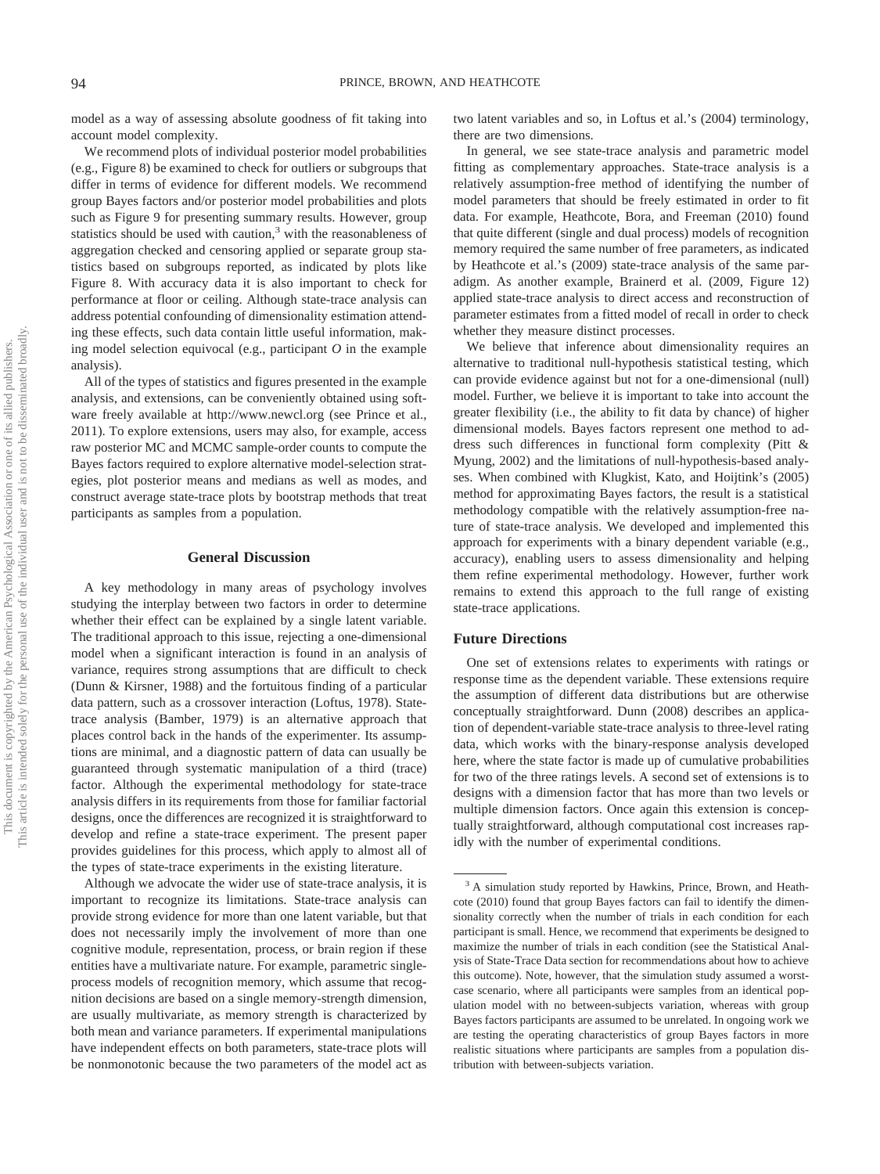model as a way of assessing absolute goodness of fit taking into account model complexity.

We recommend plots of individual posterior model probabilities (e.g., Figure 8) be examined to check for outliers or subgroups that differ in terms of evidence for different models. We recommend group Bayes factors and/or posterior model probabilities and plots such as Figure 9 for presenting summary results. However, group statistics should be used with caution, $3$  with the reasonableness of aggregation checked and censoring applied or separate group statistics based on subgroups reported, as indicated by plots like Figure 8. With accuracy data it is also important to check for performance at floor or ceiling. Although state-trace analysis can address potential confounding of dimensionality estimation attending these effects, such data contain little useful information, making model selection equivocal (e.g., participant *O* in the example analysis).

All of the types of statistics and figures presented in the example analysis, and extensions, can be conveniently obtained using software freely available at http://www.newcl.org (see Prince et al., 2011). To explore extensions, users may also, for example, access raw posterior MC and MCMC sample-order counts to compute the Bayes factors required to explore alternative model-selection strategies, plot posterior means and medians as well as modes, and construct average state-trace plots by bootstrap methods that treat participants as samples from a population.

### **General Discussion**

A key methodology in many areas of psychology involves studying the interplay between two factors in order to determine whether their effect can be explained by a single latent variable. The traditional approach to this issue, rejecting a one-dimensional model when a significant interaction is found in an analysis of variance, requires strong assumptions that are difficult to check (Dunn & Kirsner, 1988) and the fortuitous finding of a particular data pattern, such as a crossover interaction (Loftus, 1978). Statetrace analysis (Bamber, 1979) is an alternative approach that places control back in the hands of the experimenter. Its assumptions are minimal, and a diagnostic pattern of data can usually be guaranteed through systematic manipulation of a third (trace) factor. Although the experimental methodology for state-trace analysis differs in its requirements from those for familiar factorial designs, once the differences are recognized it is straightforward to develop and refine a state-trace experiment. The present paper provides guidelines for this process, which apply to almost all of the types of state-trace experiments in the existing literature.

Although we advocate the wider use of state-trace analysis, it is important to recognize its limitations. State-trace analysis can provide strong evidence for more than one latent variable, but that does not necessarily imply the involvement of more than one cognitive module, representation, process, or brain region if these entities have a multivariate nature. For example, parametric singleprocess models of recognition memory, which assume that recognition decisions are based on a single memory-strength dimension, are usually multivariate, as memory strength is characterized by both mean and variance parameters. If experimental manipulations have independent effects on both parameters, state-trace plots will be nonmonotonic because the two parameters of the model act as two latent variables and so, in Loftus et al.'s (2004) terminology, there are two dimensions.

In general, we see state-trace analysis and parametric model fitting as complementary approaches. State-trace analysis is a relatively assumption-free method of identifying the number of model parameters that should be freely estimated in order to fit data. For example, Heathcote, Bora, and Freeman (2010) found that quite different (single and dual process) models of recognition memory required the same number of free parameters, as indicated by Heathcote et al.'s (2009) state-trace analysis of the same paradigm. As another example, Brainerd et al. (2009, Figure 12) applied state-trace analysis to direct access and reconstruction of parameter estimates from a fitted model of recall in order to check whether they measure distinct processes.

We believe that inference about dimensionality requires an alternative to traditional null-hypothesis statistical testing, which can provide evidence against but not for a one-dimensional (null) model. Further, we believe it is important to take into account the greater flexibility (i.e., the ability to fit data by chance) of higher dimensional models. Bayes factors represent one method to address such differences in functional form complexity (Pitt & Myung, 2002) and the limitations of null-hypothesis-based analyses. When combined with Klugkist, Kato, and Hoijtink's (2005) method for approximating Bayes factors, the result is a statistical methodology compatible with the relatively assumption-free nature of state-trace analysis. We developed and implemented this approach for experiments with a binary dependent variable (e.g., accuracy), enabling users to assess dimensionality and helping them refine experimental methodology. However, further work remains to extend this approach to the full range of existing state-trace applications.

### **Future Directions**

One set of extensions relates to experiments with ratings or response time as the dependent variable. These extensions require the assumption of different data distributions but are otherwise conceptually straightforward. Dunn (2008) describes an application of dependent-variable state-trace analysis to three-level rating data, which works with the binary-response analysis developed here, where the state factor is made up of cumulative probabilities for two of the three ratings levels. A second set of extensions is to designs with a dimension factor that has more than two levels or multiple dimension factors. Once again this extension is conceptually straightforward, although computational cost increases rapidly with the number of experimental conditions.

<sup>&</sup>lt;sup>3</sup> A simulation study reported by Hawkins, Prince, Brown, and Heathcote (2010) found that group Bayes factors can fail to identify the dimensionality correctly when the number of trials in each condition for each participant is small. Hence, we recommend that experiments be designed to maximize the number of trials in each condition (see the Statistical Analysis of State-Trace Data section for recommendations about how to achieve this outcome). Note, however, that the simulation study assumed a worstcase scenario, where all participants were samples from an identical population model with no between-subjects variation, whereas with group Bayes factors participants are assumed to be unrelated. In ongoing work we are testing the operating characteristics of group Bayes factors in more realistic situations where participants are samples from a population distribution with between-subjects variation.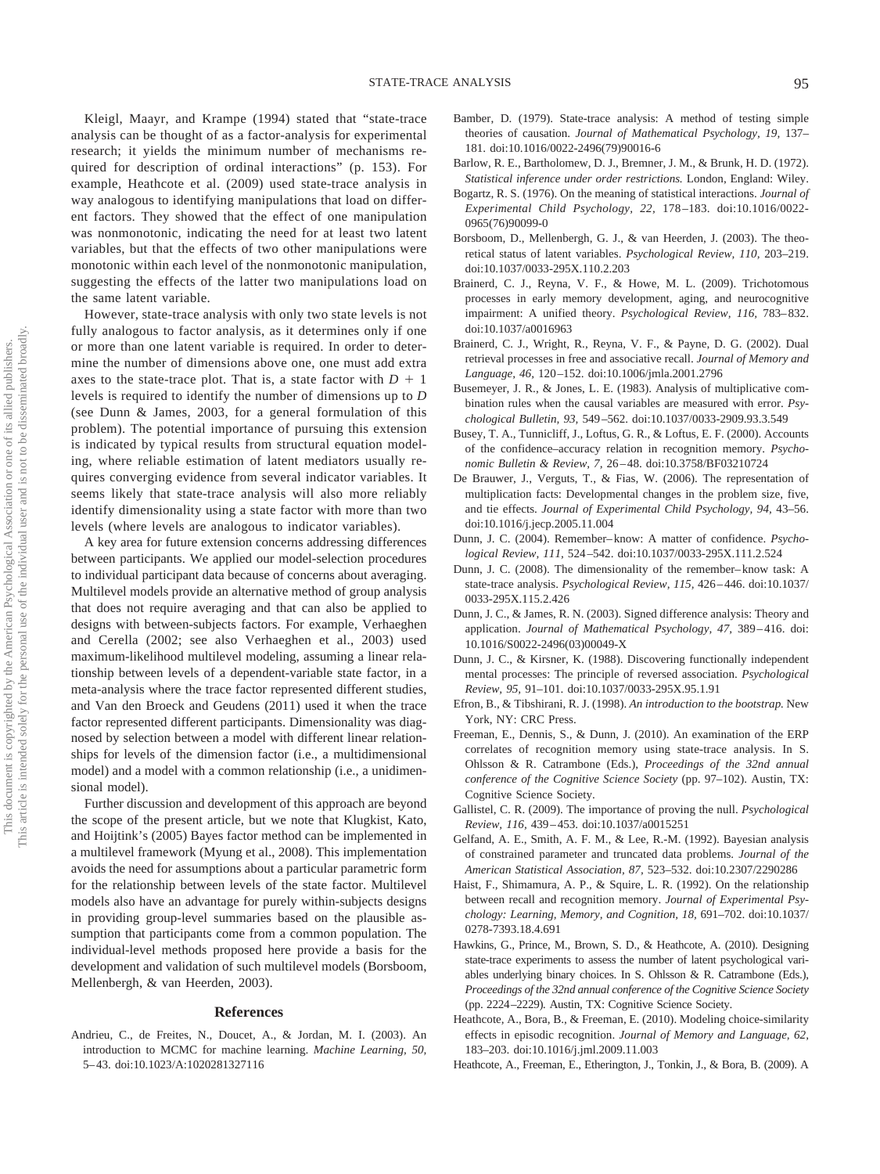Kleigl, Maayr, and Krampe (1994) stated that "state-trace analysis can be thought of as a factor-analysis for experimental research; it yields the minimum number of mechanisms required for description of ordinal interactions" (p. 153). For example, Heathcote et al. (2009) used state-trace analysis in way analogous to identifying manipulations that load on different factors. They showed that the effect of one manipulation was nonmonotonic, indicating the need for at least two latent variables, but that the effects of two other manipulations were monotonic within each level of the nonmonotonic manipulation, suggesting the effects of the latter two manipulations load on the same latent variable.

However, state-trace analysis with only two state levels is not fully analogous to factor analysis, as it determines only if one or more than one latent variable is required. In order to determine the number of dimensions above one, one must add extra axes to the state-trace plot. That is, a state factor with  $D + 1$ levels is required to identify the number of dimensions up to *D* (see Dunn & James, 2003, for a general formulation of this problem). The potential importance of pursuing this extension is indicated by typical results from structural equation modeling, where reliable estimation of latent mediators usually requires converging evidence from several indicator variables. It seems likely that state-trace analysis will also more reliably identify dimensionality using a state factor with more than two levels (where levels are analogous to indicator variables).

A key area for future extension concerns addressing differences between participants. We applied our model-selection procedures to individual participant data because of concerns about averaging. Multilevel models provide an alternative method of group analysis that does not require averaging and that can also be applied to designs with between-subjects factors. For example, Verhaeghen and Cerella (2002; see also Verhaeghen et al., 2003) used maximum-likelihood multilevel modeling, assuming a linear relationship between levels of a dependent-variable state factor, in a meta-analysis where the trace factor represented different studies, and Van den Broeck and Geudens (2011) used it when the trace factor represented different participants. Dimensionality was diagnosed by selection between a model with different linear relationships for levels of the dimension factor (i.e., a multidimensional model) and a model with a common relationship (i.e., a unidimensional model).

Further discussion and development of this approach are beyond the scope of the present article, but we note that Klugkist, Kato, and Hoijtink's (2005) Bayes factor method can be implemented in a multilevel framework (Myung et al., 2008). This implementation avoids the need for assumptions about a particular parametric form for the relationship between levels of the state factor. Multilevel models also have an advantage for purely within-subjects designs in providing group-level summaries based on the plausible assumption that participants come from a common population. The individual-level methods proposed here provide a basis for the development and validation of such multilevel models (Borsboom, Mellenbergh, & van Heerden, 2003).

#### **References**

Andrieu, C., de Freites, N., Doucet, A., & Jordan, M. I. (2003). An introduction to MCMC for machine learning. *Machine Learning, 50,* 5– 43. doi:10.1023/A:1020281327116

- Bamber, D. (1979). State-trace analysis: A method of testing simple theories of causation. *Journal of Mathematical Psychology, 19,* 137– 181. doi:10.1016/0022-2496(79)90016-6
- Barlow, R. E., Bartholomew, D. J., Bremner, J. M., & Brunk, H. D. (1972). *Statistical inference under order restrictions.* London, England: Wiley.
- Bogartz, R. S. (1976). On the meaning of statistical interactions. *Journal of Experimental Child Psychology, 22,* 178 –183. doi:10.1016/0022- 0965(76)90099-0
- Borsboom, D., Mellenbergh, G. J., & van Heerden, J. (2003). The theoretical status of latent variables. *Psychological Review, 110,* 203–219. doi:10.1037/0033-295X.110.2.203
- Brainerd, C. J., Reyna, V. F., & Howe, M. L. (2009). Trichotomous processes in early memory development, aging, and neurocognitive impairment: A unified theory. *Psychological Review, 116, 783*-832. doi:10.1037/a0016963
- Brainerd, C. J., Wright, R., Reyna, V. F., & Payne, D. G. (2002). Dual retrieval processes in free and associative recall. *Journal of Memory and Language, 46,* 120 –152. doi:10.1006/jmla.2001.2796
- Busemeyer, J. R., & Jones, L. E. (1983). Analysis of multiplicative combination rules when the causal variables are measured with error. *Psychological Bulletin, 93,* 549 –562. doi:10.1037/0033-2909.93.3.549
- Busey, T. A., Tunnicliff, J., Loftus, G. R., & Loftus, E. F. (2000). Accounts of the confidence–accuracy relation in recognition memory. *Psychonomic Bulletin & Review, 7,* 26 – 48. doi:10.3758/BF03210724
- De Brauwer, J., Verguts, T., & Fias, W. (2006). The representation of multiplication facts: Developmental changes in the problem size, five, and tie effects. *Journal of Experimental Child Psychology, 94,* 43–56. doi:10.1016/j.jecp.2005.11.004
- Dunn, J. C. (2004). Remember– know: A matter of confidence. *Psychological Review, 111,* 524 –542. doi:10.1037/0033-295X.111.2.524
- Dunn, J. C. (2008). The dimensionality of the remember– know task: A state-trace analysis. *Psychological Review, 115,* 426 – 446. doi:10.1037/ 0033-295X.115.2.426
- Dunn, J. C., & James, R. N. (2003). Signed difference analysis: Theory and application. *Journal of Mathematical Psychology, 47, 389-416*. doi: 10.1016/S0022-2496(03)00049-X
- Dunn, J. C., & Kirsner, K. (1988). Discovering functionally independent mental processes: The principle of reversed association. *Psychological Review, 95,* 91–101. doi:10.1037/0033-295X.95.1.91
- Efron, B., & Tibshirani, R. J. (1998). *An introduction to the bootstrap.* New York, NY: CRC Press.
- Freeman, E., Dennis, S., & Dunn, J. (2010). An examination of the ERP correlates of recognition memory using state-trace analysis. In S. Ohlsson & R. Catrambone (Eds.), *Proceedings of the 32nd annual conference of the Cognitive Science Society* (pp. 97–102). Austin, TX: Cognitive Science Society.
- Gallistel, C. R. (2009). The importance of proving the null. *Psychological Review, 116,* 439 – 453. doi:10.1037/a0015251
- Gelfand, A. E., Smith, A. F. M., & Lee, R.-M. (1992). Bayesian analysis of constrained parameter and truncated data problems. *Journal of the American Statistical Association, 87,* 523–532. doi:10.2307/2290286
- Haist, F., Shimamura, A. P., & Squire, L. R. (1992). On the relationship between recall and recognition memory. *Journal of Experimental Psychology: Learning, Memory, and Cognition, 18,* 691–702. doi:10.1037/ 0278-7393.18.4.691
- Hawkins, G., Prince, M., Brown, S. D., & Heathcote, A. (2010). Designing state-trace experiments to assess the number of latent psychological variables underlying binary choices. In S. Ohlsson & R. Catrambone (Eds.), *Proceedings of the 32nd annual conference of the Cognitive Science Society* (pp. 2224 –2229)*.* Austin, TX: Cognitive Science Society.
- Heathcote, A., Bora, B., & Freeman, E. (2010). Modeling choice-similarity effects in episodic recognition. *Journal of Memory and Language, 62,* 183–203. doi:10.1016/j.jml.2009.11.003
- Heathcote, A., Freeman, E., Etherington, J., Tonkin, J., & Bora, B. (2009). A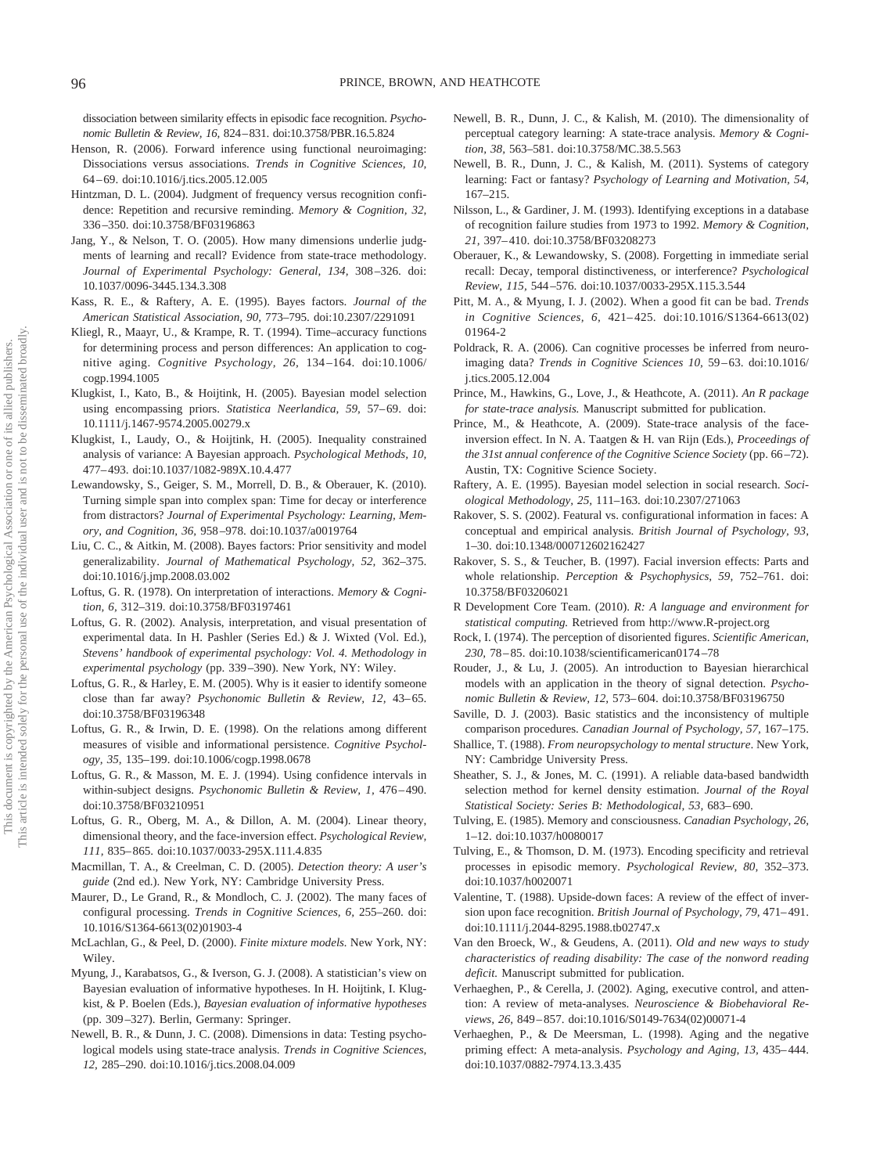dissociation between similarity effects in episodic face recognition. *Psychonomic Bulletin & Review, 16,* 824 – 831. doi:10.3758/PBR.16.5.824

- Henson, R. (2006). Forward inference using functional neuroimaging: Dissociations versus associations. *Trends in Cognitive Sciences, 10,* 64 – 69. doi:10.1016/j.tics.2005.12.005
- Hintzman, D. L. (2004). Judgment of frequency versus recognition confidence: Repetition and recursive reminding. *Memory & Cognition, 32,* 336 –350. doi:10.3758/BF03196863
- Jang, Y., & Nelson, T. O. (2005). How many dimensions underlie judgments of learning and recall? Evidence from state-trace methodology. *Journal of Experimental Psychology: General, 134,* 308 –326. doi: 10.1037/0096-3445.134.3.308
- Kass, R. E., & Raftery, A. E. (1995). Bayes factors. *Journal of the American Statistical Association, 90,* 773–795. doi:10.2307/2291091
- Kliegl, R., Maayr, U., & Krampe, R. T. (1994). Time–accuracy functions for determining process and person differences: An application to cognitive aging. *Cognitive Psychology, 26,* 134 –164. doi:10.1006/ cogp.1994.1005
- Klugkist, I., Kato, B., & Hoijtink, H. (2005). Bayesian model selection using encompassing priors. *Statistica Neerlandica*, 59, 57-69. doi: 10.1111/j.1467-9574.2005.00279.x
- Klugkist, I., Laudy, O., & Hoijtink, H. (2005). Inequality constrained analysis of variance: A Bayesian approach. *Psychological Methods, 10,* 477– 493. doi:10.1037/1082-989X.10.4.477
- Lewandowsky, S., Geiger, S. M., Morrell, D. B., & Oberauer, K. (2010). Turning simple span into complex span: Time for decay or interference from distractors? *Journal of Experimental Psychology: Learning, Memory, and Cognition, 36,* 958 –978. doi:10.1037/a0019764
- Liu, C. C., & Aitkin, M. (2008). Bayes factors: Prior sensitivity and model generalizability. *Journal of Mathematical Psychology, 52,* 362–375. doi:10.1016/j.jmp.2008.03.002
- Loftus, G. R. (1978). On interpretation of interactions. *Memory & Cognition, 6,* 312–319. doi:10.3758/BF03197461
- Loftus, G. R. (2002). Analysis, interpretation, and visual presentation of experimental data. In H. Pashler (Series Ed.) & J. Wixted (Vol. Ed.), *Stevens' handbook of experimental psychology: Vol. 4. Methodology in experimental psychology* (pp. 339 –390). New York, NY: Wiley.
- Loftus, G. R., & Harley, E. M. (2005). Why is it easier to identify someone close than far away? *Psychonomic Bulletin & Review, 12,* 43– 65. doi:10.3758/BF03196348
- Loftus, G. R., & Irwin, D. E. (1998). On the relations among different measures of visible and informational persistence. *Cognitive Psychology, 35,* 135–199. doi:10.1006/cogp.1998.0678
- Loftus, G. R., & Masson, M. E. J. (1994). Using confidence intervals in within-subject designs. *Psychonomic Bulletin & Review, 1,* 476 – 490. doi:10.3758/BF03210951
- Loftus, G. R., Oberg, M. A., & Dillon, A. M. (2004). Linear theory, dimensional theory, and the face-inversion effect. *Psychological Review, 111,* 835– 865. doi:10.1037/0033-295X.111.4.835
- Macmillan, T. A., & Creelman, C. D. (2005). *Detection theory: A user's guide* (2nd ed.). New York, NY: Cambridge University Press.
- Maurer, D., Le Grand, R., & Mondloch, C. J. (2002). The many faces of configural processing. *Trends in Cognitive Sciences, 6,* 255–260. doi: 10.1016/S1364-6613(02)01903-4
- McLachlan, G., & Peel, D. (2000). *Finite mixture models.* New York, NY: Wiley.
- Myung, J., Karabatsos, G., & Iverson, G. J. (2008). A statistician's view on Bayesian evaluation of informative hypotheses. In H. Hoijtink, I. Klugkist, & P. Boelen (Eds.), *Bayesian evaluation of informative hypotheses* (pp. 309 –327). Berlin, Germany: Springer.
- Newell, B. R., & Dunn, J. C. (2008). Dimensions in data: Testing psychological models using state-trace analysis. *Trends in Cognitive Sciences, 12,* 285–290. doi:10.1016/j.tics.2008.04.009
- Newell, B. R., Dunn, J. C., & Kalish, M. (2010). The dimensionality of perceptual category learning: A state-trace analysis. *Memory & Cognition, 38,* 563–581. doi:10.3758/MC.38.5.563
- Newell, B. R., Dunn, J. C., & Kalish, M. (2011). Systems of category learning: Fact or fantasy? *Psychology of Learning and Motivation, 54,* 167–215.
- Nilsson, L., & Gardiner, J. M. (1993). Identifying exceptions in a database of recognition failure studies from 1973 to 1992. *Memory & Cognition, 21,* 397– 410. doi:10.3758/BF03208273
- Oberauer, K., & Lewandowsky, S. (2008). Forgetting in immediate serial recall: Decay, temporal distinctiveness, or interference? *Psychological Review, 115,* 544 –576. doi:10.1037/0033-295X.115.3.544
- Pitt, M. A., & Myung, I. J. (2002). When a good fit can be bad. *Trends in Cognitive Sciences, 6,* 421– 425. doi:10.1016/S1364-6613(02) 01964-2
- Poldrack, R. A. (2006). Can cognitive processes be inferred from neuroimaging data? *Trends in Cognitive Sciences 10*, 59–63. doi:10.1016/ j.tics.2005.12.004
- Prince, M., Hawkins, G., Love, J., & Heathcote, A. (2011). *An R package for state-trace analysis.* Manuscript submitted for publication.
- Prince, M., & Heathcote, A. (2009). State-trace analysis of the faceinversion effect. In N. A. Taatgen & H. van Rijn (Eds.), *Proceedings of the 31st annual conference of the Cognitive Science Society* (pp. 66–72). Austin, TX: Cognitive Science Society.
- Raftery, A. E. (1995). Bayesian model selection in social research. *Sociological Methodology, 25,* 111–163. doi:10.2307/271063
- Rakover, S. S. (2002). Featural vs. configurational information in faces: A conceptual and empirical analysis. *British Journal of Psychology, 93,* 1–30. doi:10.1348/000712602162427
- Rakover, S. S., & Teucher, B. (1997). Facial inversion effects: Parts and whole relationship. *Perception & Psychophysics, 59,* 752–761. doi: 10.3758/BF03206021
- R Development Core Team. (2010). *R: A language and environment for statistical computing.* Retrieved from http://www.R-project.org
- Rock, I. (1974). The perception of disoriented figures. *Scientific American, 230,* 78 – 85. doi:10.1038/scientificamerican0174 –78
- Rouder, J., & Lu, J. (2005). An introduction to Bayesian hierarchical models with an application in the theory of signal detection. *Psychonomic Bulletin & Review, 12,* 573– 604. doi:10.3758/BF03196750
- Saville, D. J. (2003). Basic statistics and the inconsistency of multiple comparison procedures. *Canadian Journal of Psychology, 57,* 167–175.
- Shallice, T. (1988). *From neuropsychology to mental structure*. New York, NY: Cambridge University Press.
- Sheather, S. J., & Jones, M. C. (1991). A reliable data-based bandwidth selection method for kernel density estimation. *Journal of the Royal Statistical Society: Series B: Methodological, 53,* 683– 690.
- Tulving, E. (1985). Memory and consciousness. *Canadian Psychology, 26,* 1–12. doi:10.1037/h0080017
- Tulving, E., & Thomson, D. M. (1973). Encoding specificity and retrieval processes in episodic memory. *Psychological Review, 80,* 352–373. doi:10.1037/h0020071
- Valentine, T. (1988). Upside-down faces: A review of the effect of inversion upon face recognition. *British Journal of Psychology, 79,* 471– 491. doi:10.1111/j.2044-8295.1988.tb02747.x
- Van den Broeck, W., & Geudens, A. (2011). *Old and new ways to study characteristics of reading disability: The case of the nonword reading deficit.* Manuscript submitted for publication.
- Verhaeghen, P., & Cerella, J. (2002). Aging, executive control, and attention: A review of meta-analyses. *Neuroscience & Biobehavioral Reviews, 26,* 849 – 857. doi:10.1016/S0149-7634(02)00071-4
- Verhaeghen, P., & De Meersman, L. (1998). Aging and the negative priming effect: A meta-analysis. *Psychology and Aging, 13, 435-444*. doi:10.1037/0882-7974.13.3.435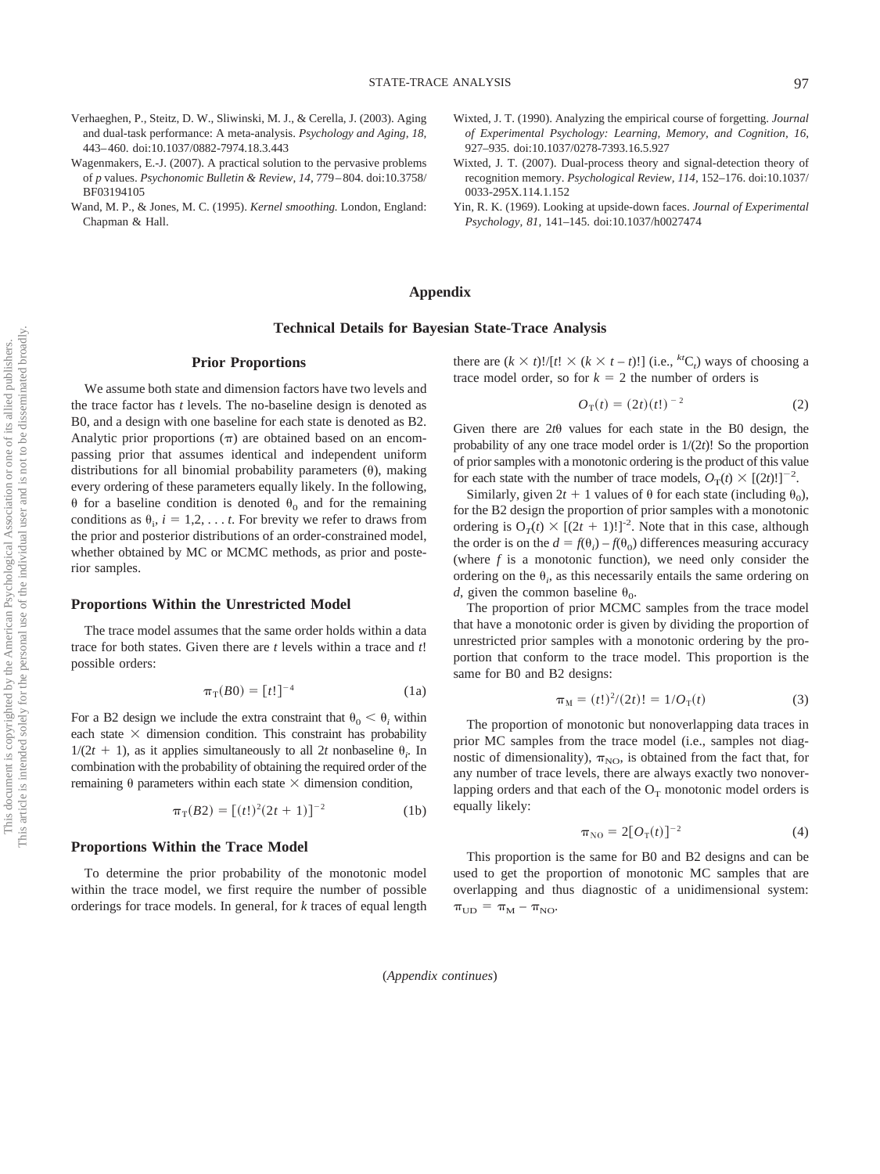- Verhaeghen, P., Steitz, D. W., Sliwinski, M. J., & Cerella, J. (2003). Aging and dual-task performance: A meta-analysis. *Psychology and Aging, 18,* 443– 460. doi:10.1037/0882-7974.18.3.443
- Wagenmakers, E.-J. (2007). A practical solution to the pervasive problems of *p* values. *Psychonomic Bulletin & Review, 14,* 779 – 804. doi:10.3758/ BF03194105
- Wand, M. P., & Jones, M. C. (1995). *Kernel smoothing.* London, England: Chapman & Hall.
- Wixted, J. T. (1990). Analyzing the empirical course of forgetting. *Journal of Experimental Psychology: Learning, Memory, and Cognition, 16,* 927–935. doi:10.1037/0278-7393.16.5.927
- Wixted, J. T. (2007). Dual-process theory and signal-detection theory of recognition memory. *Psychological Review, 114,* 152–176. doi:10.1037/ 0033-295X.114.1.152
- Yin, R. K. (1969). Looking at upside-down faces. *Journal of Experimental Psychology, 81,* 141–145. doi:10.1037/h0027474

# **Appendix**

### **Technical Details for Bayesian State-Trace Analysis**

### **Prior Proportions**

We assume both state and dimension factors have two levels and the trace factor has *t* levels. The no-baseline design is denoted as B0, and a design with one baseline for each state is denoted as B2. Analytic prior proportions  $(\pi)$  are obtained based on an encompassing prior that assumes identical and independent uniform distributions for all binomial probability parameters  $(\theta)$ , making every ordering of these parameters equally likely. In the following,  $\theta$  for a baseline condition is denoted  $\theta_0$  and for the remaining conditions as  $\theta_i$ ,  $i = 1,2, \ldots$  *t*. For brevity we refer to draws from the prior and posterior distributions of an order-constrained model, whether obtained by MC or MCMC methods, as prior and posterior samples.

### **Proportions Within the Unrestricted Model**

The trace model assumes that the same order holds within a data trace for both states. Given there are *t* levels within a trace and *t*! possible orders:

$$
\pi_{\mathrm{T}}(B0) = [t!]^{-4} \tag{1a}
$$

For a B2 design we include the extra constraint that  $\theta_0 < \theta_i$  within each state  $\times$  dimension condition. This constraint has probability  $1/(2t + 1)$ , as it applies simultaneously to all 2t nonbaseline  $\theta_i$ . In combination with the probability of obtaining the required order of the remaining  $\theta$  parameters within each state  $\times$  dimension condition,

$$
\pi_{\rm T}(B2) = [(t!)^2 (2t+1)]^{-2} \tag{1b}
$$

### **Proportions Within the Trace Model**

To determine the prior probability of the monotonic model within the trace model, we first require the number of possible orderings for trace models. In general, for *k* traces of equal length

there are  $(k \times t)!/[t! \times (k \times t - t)!]$  (i.e., <sup>kt</sup>C<sub>t</sub>) ways of choosing a trace model order, so for  $k = 2$  the number of orders is

$$
O_{\rm T}(t) = (2t)(t!)^{-2} \tag{2}
$$

Given there are  $2t\theta$  values for each state in the B0 design, the probability of any one trace model order is 1/(2*t*)! So the proportion of prior samples with a monotonic ordering is the product of this value for each state with the number of trace models,  $O_T(t) \times [(2t)!]^{-2}$ .

Similarly, given  $2t + 1$  values of  $\theta$  for each state (including  $\theta_0$ ), for the B2 design the proportion of prior samples with a monotonic ordering is  $O_T(t) \times [(2t + 1)!]^2$ . Note that in this case, although the order is on the  $d = f(\theta_i) - f(\theta_0)$  differences measuring accuracy (where *f* is a monotonic function), we need only consider the ordering on the  $\theta_i$ , as this necessarily entails the same ordering on *d*, given the common baseline  $\theta_0$ .

The proportion of prior MCMC samples from the trace model that have a monotonic order is given by dividing the proportion of unrestricted prior samples with a monotonic ordering by the proportion that conform to the trace model. This proportion is the same for B0 and B2 designs:

$$
\pi_{\mathcal{M}} = (t!)^2/(2t)! = 1/O_{\mathcal{T}}(t)
$$
 (3)

The proportion of monotonic but nonoverlapping data traces in prior MC samples from the trace model (i.e., samples not diagnostic of dimensionality),  $\pi_{\text{NO}}$ , is obtained from the fact that, for any number of trace levels, there are always exactly two nonoverlapping orders and that each of the  $O<sub>T</sub>$  monotonic model orders is equally likely:

$$
\pi_{\rm NO} = 2[O_{\rm T}(t)]^{-2} \tag{4}
$$

This proportion is the same for B0 and B2 designs and can be used to get the proportion of monotonic MC samples that are overlapping and thus diagnostic of a unidimensional system:  $\pi_{\text{UD}} = \pi_{\text{M}} - \pi_{\text{NO}}.$ 

(*Appendix continues*)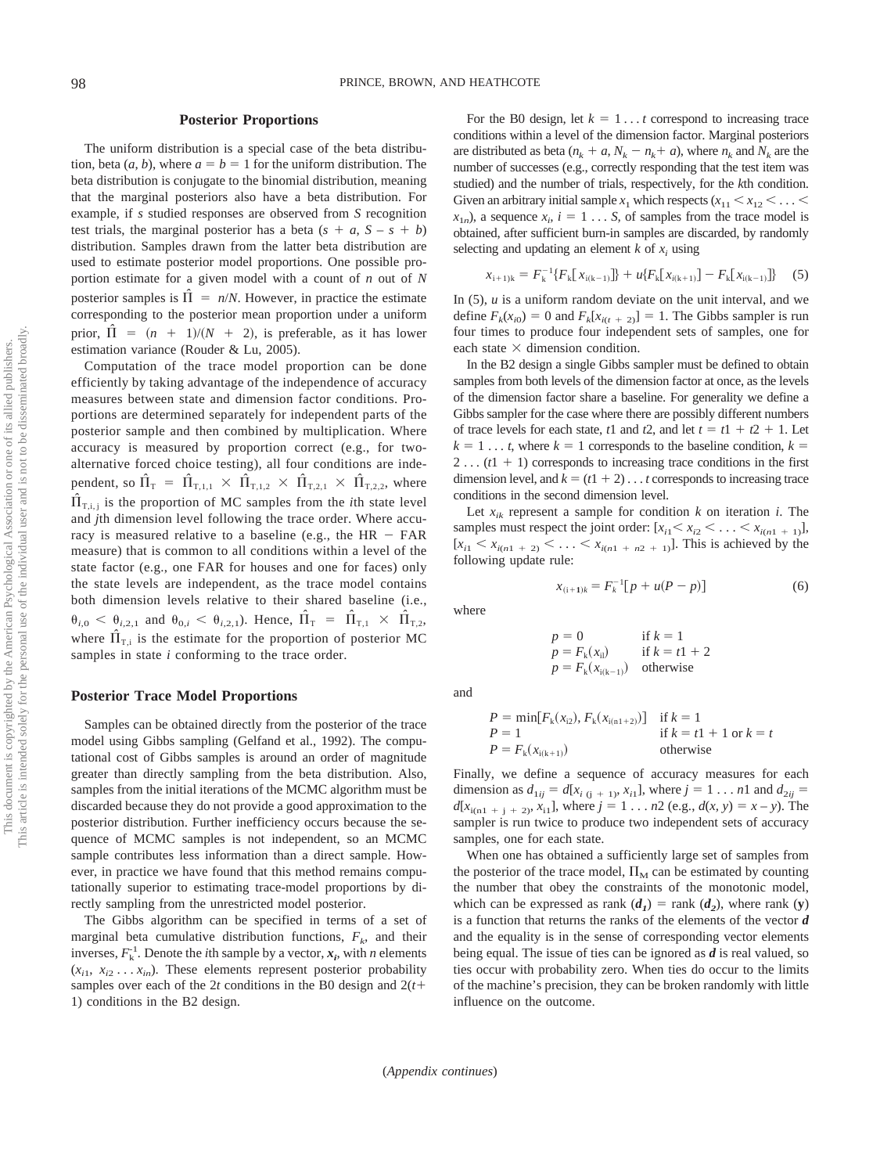# **Posterior Proportions**

The uniform distribution is a special case of the beta distribution, beta  $(a, b)$ , where  $a = b = 1$  for the uniform distribution. The beta distribution is conjugate to the binomial distribution, meaning that the marginal posteriors also have a beta distribution. For example, if *s* studied responses are observed from *S* recognition test trials, the marginal posterior has a beta  $(s + a, S - s + b)$ distribution. Samples drawn from the latter beta distribution are used to estimate posterior model proportions. One possible proportion estimate for a given model with a count of *n* out of *N* posterior samples is  $\hat{\Pi} = n/N$ . However, in practice the estimate corresponding to the posterior mean proportion under a uniform prior,  $\hat{\Pi} = (n + 1)/(N + 2)$ , is preferable, as it has lower estimation variance (Rouder & Lu, 2005).

Computation of the trace model proportion can be done efficiently by taking advantage of the independence of accuracy measures between state and dimension factor conditions. Proportions are determined separately for independent parts of the posterior sample and then combined by multiplication. Where accuracy is measured by proportion correct (e.g., for twoalternative forced choice testing), all four conditions are independent, so  $\hat{\Pi}_{T} = \hat{\Pi}_{T,1,1} \times \hat{\Pi}_{T,1,2} \times \hat{\Pi}_{T,2,1} \times \hat{\Pi}_{T,2,2}$ , where  $\hat{\Pi}_{\text{Ti},i}$  is the proportion of MC samples from the *i*th state level and *j*th dimension level following the trace order. Where accuracy is measured relative to a baseline (e.g., the  $HR - FAR$ measure) that is common to all conditions within a level of the state factor (e.g., one FAR for houses and one for faces) only the state levels are independent, as the trace model contains both dimension levels relative to their shared baseline (i.e.,  $\theta_{i,0} < \theta_{i,2,1}$  and  $\theta_{0,i} < \theta_{i,2,1}$ ). Hence,  $\hat{\Pi}_{T} = \hat{\Pi}_{T,1} \times \hat{\Pi}_{T,2}$ , where  $\hat{\Pi}_{T,i}$  is the estimate for the proportion of posterior MC samples in state *i* conforming to the trace order.

#### **Posterior Trace Model Proportions**

Samples can be obtained directly from the posterior of the trace model using Gibbs sampling (Gelfand et al., 1992). The computational cost of Gibbs samples is around an order of magnitude greater than directly sampling from the beta distribution. Also, samples from the initial iterations of the MCMC algorithm must be discarded because they do not provide a good approximation to the posterior distribution. Further inefficiency occurs because the sequence of MCMC samples is not independent, so an MCMC sample contributes less information than a direct sample. However, in practice we have found that this method remains computationally superior to estimating trace-model proportions by directly sampling from the unrestricted model posterior.

The Gibbs algorithm can be specified in terms of a set of marginal beta cumulative distribution functions,  $F_k$ , and their inverses,  $F_k^1$ . Denote the *i*th sample by a vector,  $x_i$ , with *n* elements  $(x_{i1}, x_{i2}, \ldots, x_{in})$ . These elements represent posterior probability samples over each of the 2*t* conditions in the B0 design and  $2(t+)$ 1) conditions in the B2 design.

For the B0 design, let  $k = 1... t$  correspond to increasing trace conditions within a level of the dimension factor. Marginal posteriors are distributed as beta  $(n_k + a, N_k - n_k + a)$ , where  $n_k$  and  $N_k$  are the number of successes (e.g., correctly responding that the test item was studied) and the number of trials, respectively, for the *k*th condition. Given an arbitrary initial sample  $x_1$  which respects ( $x_{11} < x_{12} < \ldots <$  $x_{1n}$ ), a sequence  $x_i$ ,  $i = 1 \ldots S$ , of samples from the trace model is obtained, after sufficient burn-in samples are discarded, by randomly selecting and updating an element  $k$  of  $x_i$  using

$$
x_{i+1\}k} = F_k^{-1}\{F_k[x_{i(k-1)}]\} + u\{F_k[x_{i(k+1)}] - F_k[x_{i(k-1)}]\} \tag{5}
$$

In (5), *u* is a uniform random deviate on the unit interval, and we define  $F_k(x_{i0}) = 0$  and  $F_k[x_{i(t+2)}] = 1$ . The Gibbs sampler is run four times to produce four independent sets of samples, one for each state  $\times$  dimension condition.

In the B2 design a single Gibbs sampler must be defined to obtain samples from both levels of the dimension factor at once, as the levels of the dimension factor share a baseline. For generality we define a Gibbs sampler for the case where there are possibly different numbers of trace levels for each state,  $t1$  and  $t2$ , and let  $t = t1 + t2 + 1$ . Let  $k = 1... t$ , where  $k = 1$  corresponds to the baseline condition,  $k = 1$  $2 \ldots (t1 + 1)$  corresponds to increasing trace conditions in the first dimension level, and  $k = (t1 + 2) \dots t$  corresponds to increasing trace conditions in the second dimension level.

Let  $x_{ik}$  represent a sample for condition  $k$  on iteration  $i$ . The samples must respect the joint order:  $[x_{i1} < x_{i2} < \ldots < x_{i(n1 + 1)}],$  $[x_{i1} < x_{i(n1 + 2)} < \ldots < x_{i(n1 + n2 + 1)}].$  This is achieved by the following update rule:

$$
x_{(i+1)k} = F_k^{-1} [p + u(P - p)] \tag{6}
$$

where

$$
p = 0 \qquad \text{if } k = 1
$$
  
\n
$$
p = F_k(x_i) \qquad \text{if } k = t1 + 2
$$
  
\n
$$
p = F_k(x_{i(k-1)}) \qquad \text{otherwise}
$$

and

$$
P = \min[F_k(x_{i2}), F_k(x_{i(n1+2)})]
$$
 if  $k = 1$   
\n
$$
P = 1
$$
 if  $k = t1 + 1$  or  $k = t$   
\n
$$
P = F_k(x_{i(k+1)})
$$
 otherwise

Finally, we define a sequence of accuracy measures for each dimension as  $d_{1ij} = d[x_{i(j+1)}, x_{i1}],$  where  $j = 1...n1$  and  $d_{2ij} =$  $d[x_{i(n1 + j + 2)}, x_{i1}]$ , where  $j = 1 ... n2$  (e.g.,  $d(x, y) = x - y$ ). The sampler is run twice to produce two independent sets of accuracy samples, one for each state.

When one has obtained a sufficiently large set of samples from the posterior of the trace model,  $\Pi_M$  can be estimated by counting the number that obey the constraints of the monotonic model, which can be expressed as rank  $(d_1)$  = rank  $(d_2)$ , where rank  $(y)$ is a function that returns the ranks of the elements of the vector *d* and the equality is in the sense of corresponding vector elements being equal. The issue of ties can be ignored as *d* is real valued, so ties occur with probability zero. When ties do occur to the limits of the machine's precision, they can be broken randomly with little influence on the outcome.

(*Appendix continues*)